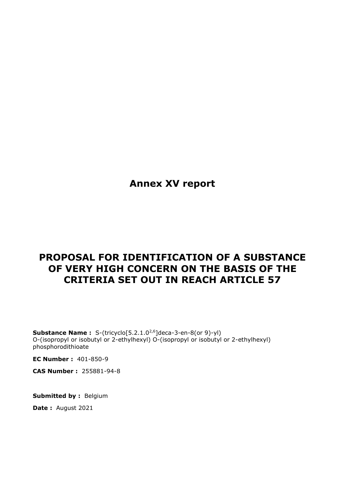**Annex XV report**

# **PROPOSAL FOR IDENTIFICATION OF A SUBSTANCE OF VERY HIGH CONCERN ON THE BASIS OF THE CRITERIA SET OUT IN REACH ARTICLE 57**

**Substance Name:** S-(tricyclo[5.2.1.0<sup>2,6</sup>]deca-3-en-8(or 9)-yl) O-(isopropyl or isobutyl or 2-ethylhexyl) O-(isopropyl or isobutyl or 2-ethylhexyl) phosphorodithioate

**EC Number :** 401-850-9

**CAS Number :** 255881-94-8

**Submitted by :** Belgium

**Date :** August 2021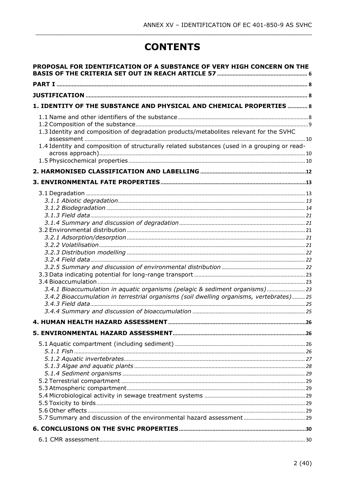# **CONTENTS**

| PROPOSAL FOR IDENTIFICATION OF A SUBSTANCE OF VERY HIGH CONCERN ON THE                       |    |
|----------------------------------------------------------------------------------------------|----|
|                                                                                              |    |
|                                                                                              |    |
| 1. IDENTITY OF THE SUBSTANCE AND PHYSICAL AND CHEMICAL PROPERTIES  8                         |    |
|                                                                                              |    |
| 1.3 Identity and composition of degradation products/metabolites relevant for the SVHC       |    |
| 1.4 Identity and composition of structurally related substances (used in a grouping or read- |    |
|                                                                                              |    |
|                                                                                              |    |
|                                                                                              |    |
|                                                                                              |    |
|                                                                                              |    |
|                                                                                              |    |
|                                                                                              |    |
|                                                                                              |    |
|                                                                                              |    |
|                                                                                              |    |
|                                                                                              |    |
|                                                                                              |    |
|                                                                                              |    |
|                                                                                              |    |
|                                                                                              |    |
| 3.4.1 Bioaccumulation in aquatic organisms (pelagic & sediment organisms) 23                 |    |
| 3.4.2 Bioaccumulation in terrestrial organisms (soil dwelling organisms, vertebrates) 25     |    |
|                                                                                              |    |
|                                                                                              |    |
| 4. HUMAN HEALTH HAZARD ASSESSMENT                                                            | 26 |
|                                                                                              |    |
|                                                                                              |    |
|                                                                                              |    |
|                                                                                              |    |
|                                                                                              |    |
|                                                                                              |    |
|                                                                                              |    |
|                                                                                              |    |
|                                                                                              |    |
|                                                                                              |    |
|                                                                                              |    |
|                                                                                              |    |
|                                                                                              |    |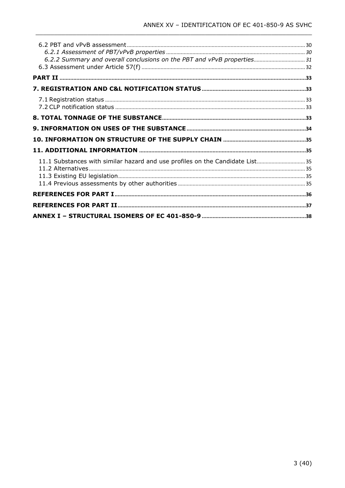| 6.2.2 Summary and overall conclusions on the PBT and vPvB properties 31       |  |
|-------------------------------------------------------------------------------|--|
|                                                                               |  |
|                                                                               |  |
|                                                                               |  |
|                                                                               |  |
|                                                                               |  |
|                                                                               |  |
|                                                                               |  |
|                                                                               |  |
|                                                                               |  |
|                                                                               |  |
| 11.1 Substances with similar hazard and use profiles on the Candidate List 35 |  |
|                                                                               |  |
|                                                                               |  |
|                                                                               |  |
|                                                                               |  |
|                                                                               |  |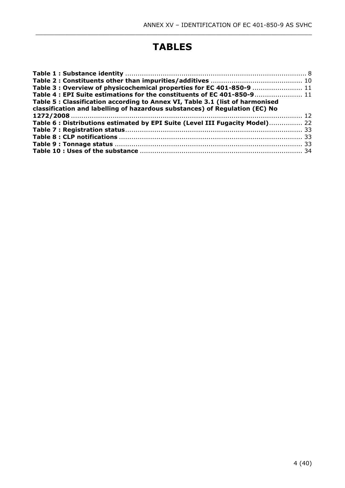# **TABLES**

\_\_\_\_\_\_\_\_\_\_\_\_\_\_\_\_\_\_\_\_\_\_\_\_\_\_\_\_\_\_\_\_\_\_\_\_\_\_\_\_\_\_\_\_\_\_\_\_\_\_\_\_\_\_\_\_\_\_\_\_\_\_\_\_\_\_\_\_\_\_\_\_\_\_\_

| Table 3 : Overview of physicochemical properties for EC 401-850-9  11         |  |
|-------------------------------------------------------------------------------|--|
| Table 4 : EPI Suite estimations for the constituents of EC 401-850-9 11       |  |
| Table 5 : Classification according to Annex VI, Table 3.1 (list of harmonised |  |
| classification and labelling of hazardous substances) of Regulation (EC) No   |  |
|                                                                               |  |
| Table 6: Distributions estimated by EPI Suite (Level III Fugacity Model) 22   |  |
|                                                                               |  |
|                                                                               |  |
|                                                                               |  |
|                                                                               |  |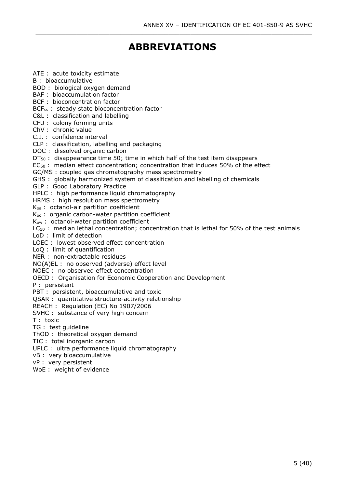# **ABBREVIATIONS**

\_\_\_\_\_\_\_\_\_\_\_\_\_\_\_\_\_\_\_\_\_\_\_\_\_\_\_\_\_\_\_\_\_\_\_\_\_\_\_\_\_\_\_\_\_\_\_\_\_\_\_\_\_\_\_\_\_\_\_\_\_\_\_\_\_\_\_\_\_\_\_\_\_\_\_

ATE : acute toxicity estimate B : bioaccumulative BOD : biological oxygen demand BAF : bioaccumulation factor BCF : bioconcentration factor BCF<sub>ss</sub>: steady state bioconcentration factor C&L : classification and labelling CFU : colony forming units ChV : chronic value C.I. : confidence interval CLP : classification, labelling and packaging DOC : dissolved organic carbon  $DT<sub>50</sub>$  : disappearance time 50; time in which half of the test item disappears EC<sup>50</sup> : median effect concentration; concentration that induces 50% of the effect GC/MS : coupled gas chromatography mass spectrometry GHS : globally harmonized system of classification and labelling of chemicals GLP : Good Laboratory Practice HPLC : high performance liquid chromatography HRMS : high resolution mass spectrometry Koa : octanol-air partition coefficient K<sub>oc</sub>: organic carbon-water partition coefficient Kow : octanol-water partition coefficient  $LC_{50}$ : median lethal concentration; concentration that is lethal for 50% of the test animals LoD : limit of detection LOEC : lowest observed effect concentration LoQ : limit of quantification NER : non-extractable residues NO(A)EL : no observed (adverse) effect level NOEC : no observed effect concentration OECD : Organisation for Economic Cooperation and Development P : persistent PBT : persistent, bioaccumulative and toxic QSAR : quantitative structure-activity relationship REACH : Regulation (EC) No 1907/2006 SVHC : substance of very high concern T : toxic TG : test guideline ThOD : theoretical oxygen demand

TIC : total inorganic carbon UPLC : ultra performance liquid chromatography

vB : very bioaccumulative

vP : very persistent

WoE : weight of evidence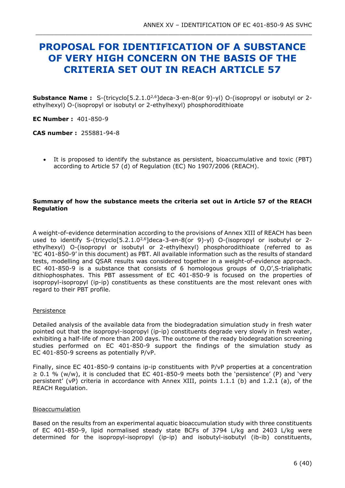# <span id="page-5-0"></span>**PROPOSAL FOR IDENTIFICATION OF A SUBSTANCE OF VERY HIGH CONCERN ON THE BASIS OF THE CRITERIA SET OUT IN REACH ARTICLE 57**

\_\_\_\_\_\_\_\_\_\_\_\_\_\_\_\_\_\_\_\_\_\_\_\_\_\_\_\_\_\_\_\_\_\_\_\_\_\_\_\_\_\_\_\_\_\_\_\_\_\_\_\_\_\_\_\_\_\_\_\_\_\_\_\_\_\_\_\_\_\_\_\_\_\_\_

**Substance Name :** S-(tricyclo[5.2.1.02,6]deca-3-en-8(or 9)-yl) O-(isopropyl or isobutyl or 2 ethylhexyl) O-(isopropyl or isobutyl or 2-ethylhexyl) phosphorodithioate

**EC Number :** 401-850-9

**CAS number :** 255881-94-8

• It is proposed to identify the substance as persistent, bioaccumulative and toxic (PBT) according to Article 57 (d) of Regulation (EC) No 1907/2006 (REACH).

### **Summary of how the substance meets the criteria set out in Article 57 of the REACH Regulation**

A weight-of-evidence determination according to the provisions of Annex XIII of REACH has been used to identify S-(tricyclo[5.2.1.0<sup>2,6</sup>]deca-3-en-8(or 9)-yl) O-(isopropyl or isobutyl or 2ethylhexyl) O-(isopropyl or isobutyl or 2-ethylhexyl) phosphorodithioate (referred to as 'EC 401-850-9' in this document) as PBT. All available information such as the results of standard tests, modelling and QSAR results was considered together in a weight-of-evidence approach. EC 401-850-9 is a substance that consists of 6 homologous groups of O,O',S-trialiphatic dithiophosphates. This PBT assessment of EC 401-850-9 is focused on the properties of isopropyl-isopropyl (ip-ip) constituents as these constituents are the most relevant ones with regard to their PBT profile.

#### Persistence

Detailed analysis of the available data from the biodegradation simulation study in fresh water pointed out that the isopropyl-isopropyl (ip-ip) constituents degrade very slowly in fresh water, exhibiting a half-life of more than 200 days. The outcome of the ready biodegradation screening studies performed on EC 401-850-9 support the findings of the simulation study as EC 401-850-9 screens as potentially P/vP.

Finally, since EC 401-850-9 contains ip-ip constituents with P/vP properties at a concentration  $\geq 0.1$  % (w/w), it is concluded that EC 401-850-9 meets both the 'persistence' (P) and 'very persistent' (vP) criteria in accordance with Annex XIII, points 1.1.1 (b) and 1.2.1 (a), of the REACH Regulation.

#### Bioaccumulation

Based on the results from an experimental aquatic bioaccumulation study with three constituents of EC 401-850-9, lipid normalised steady state BCFs of 3794 L/kg and 2403 L/kg were determined for the isopropyl-isopropyl (ip-ip) and isobutyl-isobutyl (ib-ib) constituents,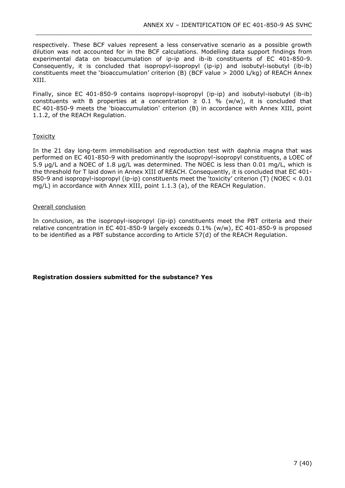respectively. These BCF values represent a less conservative scenario as a possible growth dilution was not accounted for in the BCF calculations. Modelling data support findings from experimental data on bioaccumulation of ip-ip and ib-ib constituents of EC 401-850-9. Consequently, it is concluded that isopropyl-isopropyl (ip-ip) and isobutyl-isobutyl (ib-ib) constituents meet the 'bioaccumulation' criterion (B) (BCF value > 2000 L/kg) of REACH Annex XIII.

\_\_\_\_\_\_\_\_\_\_\_\_\_\_\_\_\_\_\_\_\_\_\_\_\_\_\_\_\_\_\_\_\_\_\_\_\_\_\_\_\_\_\_\_\_\_\_\_\_\_\_\_\_\_\_\_\_\_\_\_\_\_\_\_\_\_\_\_\_\_\_\_\_\_\_

Finally, since EC 401-850-9 contains isopropyl-isopropyl (ip-ip) and isobutyl-isobutyl (ib-ib) constituents with B properties at a concentration  $\geq$  0.1 % (w/w), it is concluded that EC 401-850-9 meets the 'bioaccumulation' criterion (B) in accordance with Annex XIII, point 1.1.2, of the REACH Regulation.

### **Toxicity**

In the 21 day long-term immobilisation and reproduction test with daphnia magna that was performed on EC 401-850-9 with predominantly the isopropyl-isopropyl constituents, a LOEC of 5.9 µg/L and a NOEC of 1.8 µg/L was determined. The NOEC is less than 0.01 mg/L, which is the threshold for T laid down in Annex XIII of REACH. Consequently, it is concluded that EC 401- 850-9 and isopropyl-isopropyl (ip-ip) constituents meet the 'toxicity' criterion (T) (NOEC < 0.01 mg/L) in accordance with Annex XIII, point 1.1.3 (a), of the REACH Regulation.

### Overall conclusion

In conclusion, as the isopropyl-isopropyl (ip-ip) constituents meet the PBT criteria and their relative concentration in EC 401-850-9 largely exceeds 0.1% (w/w), EC 401-850-9 is proposed to be identified as a PBT substance according to Article 57(d) of the REACH Regulation.

### **Registration dossiers submitted for the substance? Yes**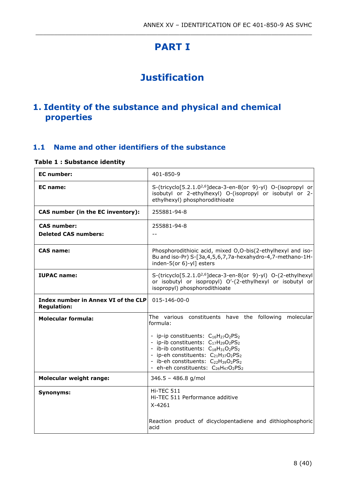# **PART I**

<span id="page-7-0"></span>\_\_\_\_\_\_\_\_\_\_\_\_\_\_\_\_\_\_\_\_\_\_\_\_\_\_\_\_\_\_\_\_\_\_\_\_\_\_\_\_\_\_\_\_\_\_\_\_\_\_\_\_\_\_\_\_\_\_\_\_\_\_\_\_\_\_\_\_\_\_\_\_\_\_\_

# **Justification**

## <span id="page-7-2"></span><span id="page-7-1"></span>**1. Identity of the substance and physical and chemical properties**

## <span id="page-7-3"></span>**1.1 Name and other identifiers of the substance**

### <span id="page-7-4"></span>**Table 1 : Substance identity**

| <b>EC</b> number:                                         | 401-850-9                                                                                                                                                                                                                                                                                                                                                                                                                                                                                                                                    |
|-----------------------------------------------------------|----------------------------------------------------------------------------------------------------------------------------------------------------------------------------------------------------------------------------------------------------------------------------------------------------------------------------------------------------------------------------------------------------------------------------------------------------------------------------------------------------------------------------------------------|
| EC name:                                                  | S-(tricyclo[5.2.1.0 <sup>2,6</sup> ]deca-3-en-8(or 9)-yl) O-(isopropyl or<br>isobutyl or 2-ethylhexyl) O-(isopropyl or isobutyl or 2-<br>ethylhexyl) phosphorodithioate                                                                                                                                                                                                                                                                                                                                                                      |
| CAS number (in the EC inventory):                         | 255881-94-8                                                                                                                                                                                                                                                                                                                                                                                                                                                                                                                                  |
| <b>CAS number:</b><br><b>Deleted CAS numbers:</b>         | 255881-94-8<br>$-$                                                                                                                                                                                                                                                                                                                                                                                                                                                                                                                           |
| <b>CAS name:</b>                                          | Phosphorodithioic acid, mixed O,O-bis(2-ethylhexyl and iso-<br>Bu and iso-Pr) S-[3a,4,5,6,7,7a-hexahydro-4,7-methano-1H-<br>inden-5(or 6)-yl] esters                                                                                                                                                                                                                                                                                                                                                                                         |
| <b>IUPAC name:</b>                                        | S-(tricyclo[5.2.1.0 <sup>2,6</sup> ]deca-3-en-8(or 9)-yl) O-(2-ethylhexyl<br>or isobutyl or isopropyl) O'-(2-ethylhexyl or isobutyl or<br>isopropyl) phosphorodithioate                                                                                                                                                                                                                                                                                                                                                                      |
| Index number in Annex VI of the CLP<br><b>Regulation:</b> | 015-146-00-0                                                                                                                                                                                                                                                                                                                                                                                                                                                                                                                                 |
| <b>Molecular formula:</b>                                 | The various constituents have the following molecular<br>formula:                                                                                                                                                                                                                                                                                                                                                                                                                                                                            |
|                                                           | - ip-ip constituents: C <sub>16</sub> H <sub>27</sub> O <sub>2</sub> PS <sub>2</sub><br>- ip-ib constituents: C <sub>17</sub> H <sub>29</sub> O <sub>2</sub> PS <sub>2</sub><br>- ib-ib constituents: C <sub>18</sub> H <sub>31</sub> O <sub>2</sub> PS <sub>2</sub><br>- ip-eh constituents: C <sub>21</sub> H <sub>37</sub> O <sub>2</sub> PS <sub>2</sub><br>- ib-eh constituents: C <sub>22</sub> H <sub>39</sub> O <sub>2</sub> PS <sub>2</sub><br>- eh-eh constituents: C <sub>26</sub> H <sub>47</sub> O <sub>2</sub> PS <sub>2</sub> |
| <b>Molecular weight range:</b>                            | $346.5 - 486.8$ g/mol                                                                                                                                                                                                                                                                                                                                                                                                                                                                                                                        |
| <b>Synonyms:</b>                                          | Hi-TEC 511<br>Hi-TEC 511 Performance additive<br>$X-4261$<br>Reaction product of dicyclopentadiene and dithiophosphoric                                                                                                                                                                                                                                                                                                                                                                                                                      |
|                                                           | acid                                                                                                                                                                                                                                                                                                                                                                                                                                                                                                                                         |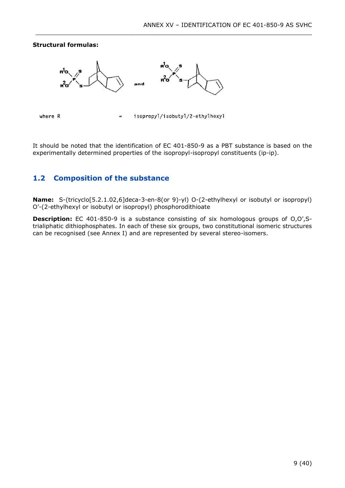#### **Structural formulas:**





where R

isopropyl/isobutyl/2-ethylhexyl

\_\_\_\_\_\_\_\_\_\_\_\_\_\_\_\_\_\_\_\_\_\_\_\_\_\_\_\_\_\_\_\_\_\_\_\_\_\_\_\_\_\_\_\_\_\_\_\_\_\_\_\_\_\_\_\_\_\_\_\_\_\_\_\_\_\_\_\_\_\_\_\_\_\_\_

It should be noted that the identification of EC 401-850-9 as a PBT substance is based on the experimentally determined properties of the isopropyl-isopropyl constituents (ip-ip).

## <span id="page-8-0"></span>**1.2 Composition of the substance**

**Name:** S-(tricyclo[5.2.1.02,6]deca-3-en-8(or 9)-yl) O-(2-ethylhexyl or isobutyl or isopropyl) O'-(2-ethylhexyl or isobutyl or isopropyl) phosphorodithioate

**Description:** EC 401-850-9 is a substance consisting of six homologous groups of O,O',Strialiphatic dithiophosphates. In each of these six groups, two constitutional isomeric structures can be recognised (see Annex I) and are represented by several stereo-isomers.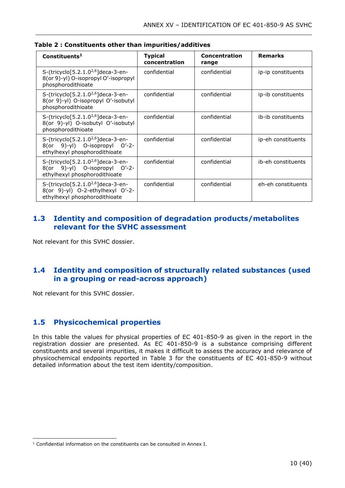| Constituents <sup>1</sup>                                                                                           | <b>Typical</b><br>concentration | Concentration<br>range | <b>Remarks</b>     |
|---------------------------------------------------------------------------------------------------------------------|---------------------------------|------------------------|--------------------|
| S-(tricyclo[5.2.1.0 <sup>2,6</sup> ]deca-3-en-<br>8(or 9)-yl) O-isopropyl O'-isopropyl<br>phosphorodithioate        | confidential                    | confidential           | ip-ip constituents |
| S-(tricyclo[5.2.1.0 <sup>2,6</sup> ]deca-3-en-<br>8(or 9)-yl) O-isopropyl O'-isobutyl<br>phosphorodithioate         | confidential                    | confidential           | ip-ib constituents |
| S-(tricyclo[5.2.1.0 <sup>2,6</sup> ]deca-3-en-<br>8(or 9)-yl) O-isobutyl O'-isobutyl<br>phosphorodithioate          | confidential                    | confidential           | ib-ib constituents |
| S-(tricyclo[5.2.1.0 <sup>2,6</sup> ]deca-3-en-<br>8(or 9)-yl) O-isopropyl O'-2-<br>ethylhexyl phosphorodithioate    | confidential                    | confidential           | ip-eh constituents |
| S-(tricyclo[5.2.1.0 <sup>2,6</sup> ]deca-3-en-<br>8(or 9)-yl) O-isopropyl O'-2-<br>ethylhexyl phosphorodithioate    | confidential                    | confidential           | ib-eh constituents |
| S-(tricyclo[5.2.1.0 <sup>2,6</sup> ]deca-3-en-<br>8(or 9)-yl) O-2-ethylhexyl O'-2-<br>ethylhexyl phosphorodithioate | confidential                    | confidential           | eh-eh constituents |

\_\_\_\_\_\_\_\_\_\_\_\_\_\_\_\_\_\_\_\_\_\_\_\_\_\_\_\_\_\_\_\_\_\_\_\_\_\_\_\_\_\_\_\_\_\_\_\_\_\_\_\_\_\_\_\_\_\_\_\_\_\_\_\_\_\_\_\_\_\_\_\_\_\_\_

<span id="page-9-3"></span>**Table 2 : Constituents other than impurities/additives**

### <span id="page-9-0"></span>**1.3 Identity and composition of degradation products/metabolites relevant for the SVHC assessment**

Not relevant for this SVHC dossier.

## <span id="page-9-1"></span>**1.4 Identity and composition of structurally related substances (used in a grouping or read-across approach)**

Not relevant for this SVHC dossier.

## <span id="page-9-2"></span>**1.5 Physicochemical properties**

In this table the values for physical properties of EC 401-850-9 as given in the report in the registration dossier are presented. As EC 401-850-9 is a substance comprising different constituents and several impurities, it makes it difficult to assess the accuracy and relevance of physicochemical endpoints reported in Table 3 for the constituents of EC 401-850-9 without detailed information about the test item identity/composition.

 $1$  Confidential information on the constituents can be consulted in Annex I.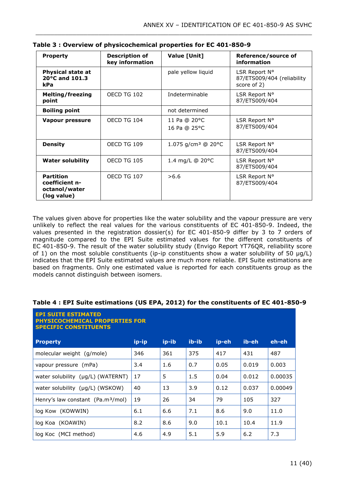| <b>Property</b>                                                    | <b>Description of</b><br>key information | Value [Unit]                   | Reference/source of<br>information                         |
|--------------------------------------------------------------------|------------------------------------------|--------------------------------|------------------------------------------------------------|
| <b>Physical state at</b><br>20°C and 101.3<br><b>kPa</b>           |                                          | pale yellow liquid             | LSR Report N°<br>87/ETS009/404 (reliability<br>score of 2) |
| <b>Melting/freezing</b><br>point                                   | OECD TG 102                              | Indeterminable                 | LSR Report N°<br>87/ETS009/404                             |
| <b>Boiling point</b>                                               |                                          | not determined                 |                                                            |
| Vapour pressure                                                    | OECD TG 104                              | 11 Pa @ 20°C<br>16 Pa @ 25°C   | LSR Report N°<br>87/ETS009/404                             |
| <b>Density</b>                                                     | OECD TG 109                              | 1.075 g/cm <sup>3</sup> @ 20°C | LSR Report N°<br>87/ETS009/404                             |
| <b>Water solubility</b>                                            | OECD TG 105                              | 1.4 mg/L $@$ 20 $°C$           | LSR Report N°<br>87/ETS009/404                             |
| <b>Partition</b><br>coefficient n-<br>octanol/water<br>(log value) | OECD TG 107                              | >6.6                           | LSR Report N°<br>87/ETS009/404                             |

\_\_\_\_\_\_\_\_\_\_\_\_\_\_\_\_\_\_\_\_\_\_\_\_\_\_\_\_\_\_\_\_\_\_\_\_\_\_\_\_\_\_\_\_\_\_\_\_\_\_\_\_\_\_\_\_\_\_\_\_\_\_\_\_\_\_\_\_\_\_\_\_\_\_\_

<span id="page-10-0"></span>

| Table 3 : Overview of physicochemical properties for EC 401-850-9 |  |  |  |
|-------------------------------------------------------------------|--|--|--|
|-------------------------------------------------------------------|--|--|--|

The values given above for properties like the water solubility and the vapour pressure are very unlikely to reflect the real values for the various constituents of EC 401-850-9. Indeed, the values presented in the registration dossier(s) for EC 401-850-9 differ by 3 to 7 orders of magnitude compared to the EPI Suite estimated values for the different constituents of EC 401-850-9. The result of the water solubility study (Envigo Report YT76QR, reliability score of 1) on the most soluble constituents (ip-ip constituents show a water solubility of 50  $\mu q/L$ ) indicates that the EPI Suite estimated values are much more reliable. EPI Suite estimations are based on fragments. Only one estimated value is reported for each constituents group as the models cannot distinguish between isomers.

#### <span id="page-10-1"></span>**Table 4 : EPI Suite estimations (US EPA, 2012) for the constituents of EC 401-850-9**

| <b>EPI SUITE ESTIMATED</b><br><b>PHYSICOCHEMICAL PROPERTIES FOR</b><br><b>SPECIFIC CONSTITUENTS</b> |       |       |       |       |       |         |  |  |  |
|-----------------------------------------------------------------------------------------------------|-------|-------|-------|-------|-------|---------|--|--|--|
| <b>Property</b>                                                                                     | ip-ip | ip-ib | ib-ib | ip-eh | ib-eh | eh-eh   |  |  |  |
| molecular weight (g/mole)                                                                           | 346   | 361   | 375   | 417   | 431   | 487     |  |  |  |
| vapour pressure (mPa)                                                                               | 3.4   | 1.6   | 0.7   | 0.05  | 0.019 | 0.003   |  |  |  |
| water solubility $(\mu g/L)$ (WATERNT)                                                              | 17    | 5     | 1.5   | 0.04  | 0.012 | 0.00035 |  |  |  |
| water solubility $(\mu q/L)$ (WSKOW)                                                                | 40    | 13    | 3.9   | 0.12  | 0.037 | 0.00049 |  |  |  |
| Henry's law constant (Pa.m <sup>3</sup> /mol)                                                       | 19    | 26    | 34    | 79    | 105   | 327     |  |  |  |
| log Kow (KOWWIN)                                                                                    | 6.1   | 6.6   | 7.1   | 8.6   | 9.0   | 11.0    |  |  |  |
| log Koa (KOAWIN)                                                                                    | 8.2   | 8.6   | 9.0   | 10.1  | 10.4  | 11.9    |  |  |  |
| log Koc (MCI method)                                                                                | 4.6   | 4.9   | 5.1   | 5.9   | 6.2   | 7.3     |  |  |  |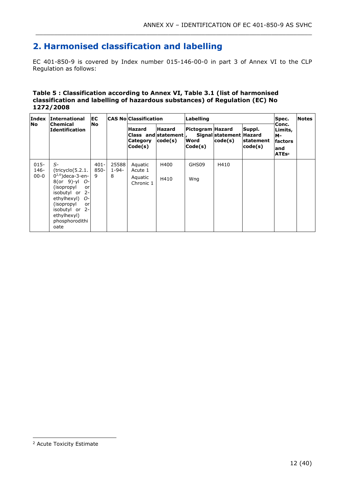# <span id="page-11-0"></span>**2. Harmonised classification and labelling**

EC 401-850-9 is covered by Index number 015-146-00-0 in part 3 of Annex VI to the CLP Regulation as follows:

\_\_\_\_\_\_\_\_\_\_\_\_\_\_\_\_\_\_\_\_\_\_\_\_\_\_\_\_\_\_\_\_\_\_\_\_\_\_\_\_\_\_\_\_\_\_\_\_\_\_\_\_\_\_\_\_\_\_\_\_\_\_\_\_\_\_\_\_\_\_\_\_\_\_\_

#### <span id="page-11-1"></span>**Table 5 : Classification according to Annex VI, Table 3.1 (list of harmonised classification and labelling of hazardous substances) of Regulation (EC) No 1272/2008**

| Index                          | <b>International</b><br><b>Chemical</b><br><b>Identification</b>                                                                                                                                               |                      | EC                       |                                                 | <b>CAS No Classification</b>                     |                                     | Labelling                          |                                |                                                               | Spec. | <b>Notes</b> |
|--------------------------------|----------------------------------------------------------------------------------------------------------------------------------------------------------------------------------------------------------------|----------------------|--------------------------|-------------------------------------------------|--------------------------------------------------|-------------------------------------|------------------------------------|--------------------------------|---------------------------------------------------------------|-------|--------------|
| <b>No</b>                      |                                                                                                                                                                                                                | No                   |                          | <b>Hazard</b><br>Category<br>$\textsf{Code}(s)$ | <b>Hazard</b><br>Class and statement,<br>code(s) | Pictogram Hazard<br>Word<br>Code(s) | Signal statement Hazard<br>code(s) | Suppl.<br>statement<br>code(s) | Conc.<br>Limits,<br>м-<br>factors<br>and<br>ATEs <sup>2</sup> |       |              |
| $015 -$<br>$146 -$<br>$00 - 0$ | $S-$<br>(tricyclo(5.2.1.<br>$0^{2,6}$ )deca-3-en-<br>$8$ (or 9)-yl $O-$<br>(isopropyl<br>or<br>isobutyl or 2-<br>ethylhexyl) O-<br>(isopropyl<br>or<br>isobutyl or 2-<br>ethylhexyl)<br>phosphorodithi<br>oate | $401 -$<br>850-<br>9 | 25588<br>$1 - 94 -$<br>8 | Aquatic<br>Acute 1<br>Aquatic<br>Chronic 1      | H400<br>H410                                     | GHS09<br>Wng                        | H410                               |                                |                                                               |       |              |

<sup>2</sup> Acute Toxicity Estimate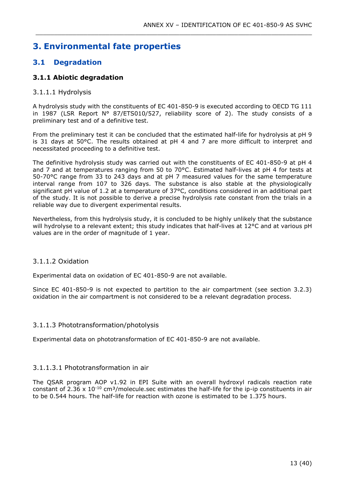## <span id="page-12-0"></span>**3. Environmental fate properties**

## <span id="page-12-1"></span>**3.1 Degradation**

### <span id="page-12-2"></span>**3.1.1 Abiotic degradation**

### 3.1.1.1 Hydrolysis

A hydrolysis study with the constituents of EC 401-850-9 is executed according to OECD TG 111 in 1987 (LSR Report  $N^{\circ}$  87/ETS010/527, reliability score of 2). The study consists of a preliminary test and of a definitive test.

\_\_\_\_\_\_\_\_\_\_\_\_\_\_\_\_\_\_\_\_\_\_\_\_\_\_\_\_\_\_\_\_\_\_\_\_\_\_\_\_\_\_\_\_\_\_\_\_\_\_\_\_\_\_\_\_\_\_\_\_\_\_\_\_\_\_\_\_\_\_\_\_\_\_\_

From the preliminary test it can be concluded that the estimated half-life for hydrolysis at pH 9 is 31 days at 50°C. The results obtained at pH 4 and 7 are more difficult to interpret and necessitated proceeding to a definitive test.

The definitive hydrolysis study was carried out with the constituents of EC 401-850-9 at pH 4 and 7 and at temperatures ranging from 50 to 70°C. Estimated half-lives at pH 4 for tests at 50-70°C range from 33 to 243 days and at pH 7 measured values for the same temperature interval range from 107 to 326 days. The substance is also stable at the physiologically significant pH value of 1.2 at a temperature of 37°C, conditions considered in an additional part of the study. It is not possible to derive a precise hydrolysis rate constant from the trials in a reliable way due to divergent experimental results.

Nevertheless, from this hydrolysis study, it is concluded to be highly unlikely that the substance will hydrolyse to a relevant extent; this study indicates that half-lives at 12°C and at various pH values are in the order of magnitude of 1 year.

### 3.1.1.2 Oxidation

Experimental data on oxidation of EC 401-850-9 are not available.

Since EC 401-850-9 is not expected to partition to the air compartment (see section 3.2.3) oxidation in the air compartment is not considered to be a relevant degradation process.

### 3.1.1.3 Phototransformation/photolysis

Experimental data on phototransformation of EC 401-850-9 are not available.

### 3.1.1.3.1 Phototransformation in air

The QSAR program AOP v1.92 in EPI Suite with an overall hydroxyl radicals reaction rate constant of 2.36 x  $10^{-10}$  cm<sup>3</sup>/molecule.sec estimates the half-life for the ip-ip constituents in air to be 0.544 hours. The half-life for reaction with ozone is estimated to be 1.375 hours.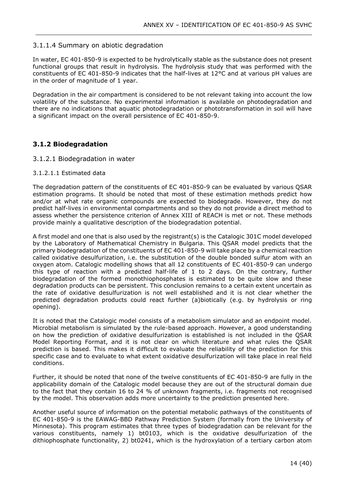### 3.1.1.4 Summary on abiotic degradation

In water, EC 401-850-9 is expected to be hydrolytically stable as the substance does not present functional groups that result in hydrolysis. The hydrolysis study that was performed with the constituents of EC 401-850-9 indicates that the half-lives at 12°C and at various pH values are in the order of magnitude of 1 year.

\_\_\_\_\_\_\_\_\_\_\_\_\_\_\_\_\_\_\_\_\_\_\_\_\_\_\_\_\_\_\_\_\_\_\_\_\_\_\_\_\_\_\_\_\_\_\_\_\_\_\_\_\_\_\_\_\_\_\_\_\_\_\_\_\_\_\_\_\_\_\_\_\_\_\_

Degradation in the air compartment is considered to be not relevant taking into account the low volatility of the substance. No experimental information is available on photodegradation and there are no indications that aquatic photodegradation or phototransformation in soil will have a significant impact on the overall persistence of EC 401-850-9.

### <span id="page-13-0"></span>**3.1.2 Biodegradation**

#### 3.1.2.1 Biodegradation in water

#### 3.1.2.1.1 Estimated data

The degradation pattern of the constituents of EC 401-850-9 can be evaluated by various QSAR estimation programs. It should be noted that most of these estimation methods predict how and/or at what rate organic compounds are expected to biodegrade. However, they do not predict half-lives in environmental compartments and so they do not provide a direct method to assess whether the persistence criterion of Annex XIII of REACH is met or not. These methods provide mainly a qualitative description of the biodegradation potential.

A first model and one that is also used by the registrant(s) is the Catalogic 301C model developed by the Laboratory of Mathematical Chemistry in Bulgaria. This QSAR model predicts that the primary biodegradation of the constituents of EC 401-850-9 will take place by a chemical reaction called oxidative desulfurization, i.e. the substitution of the double bonded sulfur atom with an oxygen atom. Catalogic modelling shows that all 12 constituents of EC 401-850-9 can undergo this type of reaction with a predicted half-life of 1 to 2 days. On the contrary, further biodegradation of the formed monothiophosphates is estimated to be quite slow and these degradation products can be persistent. This conclusion remains to a certain extent uncertain as the rate of oxidative desulfurization is not well established and it is not clear whether the predicted degradation products could react further (a)biotically (e.g. by hydrolysis or ring opening).

It is noted that the Catalogic model consists of a metabolism simulator and an endpoint model. Microbial metabolism is simulated by the rule-based approach. However, a good understanding on how the prediction of oxidative desulfurization is established is not included in the QSAR Model Reporting Format, and it is not clear on which literature and what rules the QSAR prediction is based. This makes it difficult to evaluate the reliability of the prediction for this specific case and to evaluate to what extent oxidative desulfurization will take place in real field conditions.

Further, it should be noted that none of the twelve constituents of EC 401-850-9 are fully in the applicability domain of the Catalogic model because they are out of the structural domain due to the fact that they contain 16 to 24 % of unknown fragments, i.e. fragments not recognised by the model. This observation adds more uncertainty to the prediction presented here.

Another useful source of information on the potential metabolic pathways of the constituents of EC 401-850-9 is the EAWAG-BBD Pathway Prediction System (formally from the University of Minnesota). This program estimates that three types of biodegradation can be relevant for the various constituents, namely 1) bt0103, which is the oxidative desulfurization of the dithiophosphate functionality, 2) bt0241, which is the hydroxylation of a tertiary carbon atom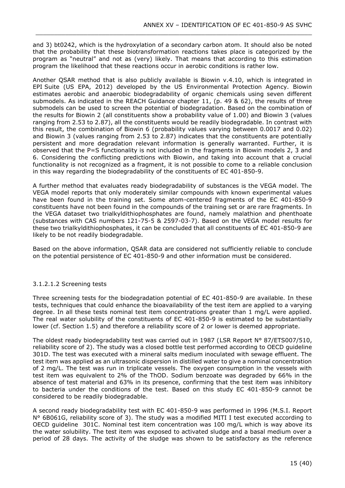and 3) bt0242, which is the hydroxylation of a secondary carbon atom. It should also be noted that the probability that these biotransformation reactions takes place is categorized by the program as "neutral" and not as (very) likely. That means that according to this estimation program the likelihood that these reactions occur in aerobic conditions is rather low.

\_\_\_\_\_\_\_\_\_\_\_\_\_\_\_\_\_\_\_\_\_\_\_\_\_\_\_\_\_\_\_\_\_\_\_\_\_\_\_\_\_\_\_\_\_\_\_\_\_\_\_\_\_\_\_\_\_\_\_\_\_\_\_\_\_\_\_\_\_\_\_\_\_\_\_

Another QSAR method that is also publicly available is Biowin v.4.10, which is integrated in EPI Suite (US EPA, 2012) developed by the US Environmental Protection Agency. Biowin estimates aerobic and anaerobic biodegradability of organic chemicals using seven different submodels. As indicated in the REACH Guidance chapter 11, (p. 49 & 62), the results of three submodels can be used to screen the potential of biodegradation. Based on the combination of the results for Biowin 2 (all constituents show a probability value of 1.00) and Biowin 3 (values ranging from 2.53 to 2.87), all the constituents would be readily biodegradable. In contrast with this result, the combination of Biowin 6 (probability values varying between 0.0017 and 0.02) and Biowin 3 (values ranging from 2.53 to 2.87) indicates that the constituents are potentially persistent and more degradation relevant information is generally warranted. Further, it is observed that the P=S functionality is not included in the fragments in Biowin models 2, 3 and 6. Considering the conflicting predictions with Biowin, and taking into account that a crucial functionality is not recognized as a fragment, it is not possible to come to a reliable conclusion in this way regarding the biodegradability of the constituents of EC 401-850-9.

A further method that evaluates ready biodegradability of substances is the VEGA model. The VEGA model reports that only moderately similar compounds with known experimental values have been found in the training set. Some atom-centered fragments of the EC 401-850-9 constituents have not been found in the compounds of the training set or are rare fragments. In the VEGA dataset two trialkyldithiophosphates are found, namely malathion and phenthoate (substances with CAS numbers 121-75-5 & 2597-03-7). Based on the VEGA model results for these two trialkyldithiophosphates, it can be concluded that all constituents of EC 401-850-9 are likely to be not readily biodegradable.

Based on the above information, QSAR data are considered not sufficiently reliable to conclude on the potential persistence of EC 401-850-9 and other information must be considered.

### 3.1.2.1.2 Screening tests

Three screening tests for the biodegradation potential of EC 401-850-9 are available. In these tests, techniques that could enhance the bioavailability of the test item are applied to a varying degree. In all these tests nominal test item concentrations greater than 1 mg/L were applied. The real water solubility of the constituents of EC 401-850-9 is estimated to be substantially lower (cf. Section 1.5) and therefore a reliability score of 2 or lower is deemed appropriate.

The oldest ready biodegradability test was carried out in 1987 (LSR Report N° 87/ETS007/510, reliability score of 2). The study was a closed bottle test performed according to OECD guideline 301D. The test was executed with a mineral salts medium inoculated with sewage effluent. The test item was applied as an ultrasonic dispersion in distilled water to give a nominal concentration of 2 mg/L. The test was run in triplicate vessels. The oxygen consumption in the vessels with test item was equivalent to 2% of the ThOD. Sodium benzoate was degraded by 66% in the absence of test material and 63% in its presence, confirming that the test item was inhibitory to bacteria under the conditions of the test. Based on this study EC 401-850-9 cannot be considered to be readily biodegradable.

A second ready biodegradability test with EC 401-850-9 was performed in 1996 (M.S.I. Report N° 6B061G, reliability score of 3). The study was a modified MITI I test executed according to OECD guideline 301C. Nominal test item concentration was 100 mg/L which is way above its the water solubility. The test item was exposed to activated sludge and a basal medium over a period of 28 days. The activity of the sludge was shown to be satisfactory as the reference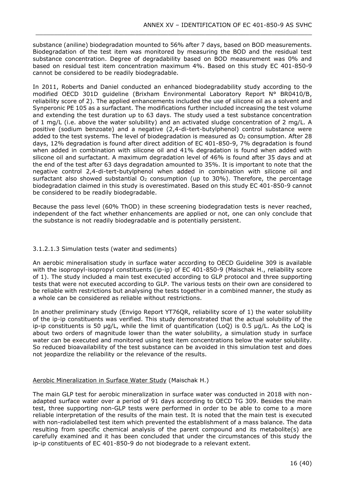substance (aniline) biodegradation mounted to 56% after 7 days, based on BOD measurements. Biodegradation of the test item was monitored by measuring the BOD and the residual test substance concentration. Degree of degradability based on BOD measurement was 0% and based on residual test item concentration maximum 4%. Based on this study EC 401-850-9 cannot be considered to be readily biodegradable.

\_\_\_\_\_\_\_\_\_\_\_\_\_\_\_\_\_\_\_\_\_\_\_\_\_\_\_\_\_\_\_\_\_\_\_\_\_\_\_\_\_\_\_\_\_\_\_\_\_\_\_\_\_\_\_\_\_\_\_\_\_\_\_\_\_\_\_\_\_\_\_\_\_\_\_

In 2011, Roberts and Daniel conducted an enhanced biodegradability study according to the modified OECD 301D guideline (Brixham Environmental Laboratory Report N° BR0410/B, reliability score of 2). The applied enhancements included the use of silicone oil as a solvent and Synperonic PE 105 as a surfactant. The modifications further included increasing the test volume and extending the test duration up to 63 days. The study used a test substance concentration of 1 mg/L (i.e. above the water solubility) and an activated sludge concentration of 2 mg/L. A positive (sodium benzoate) and a negative (2,4-di-tert-butylphenol) control substance were added to the test systems. The level of biodegradation is measured as  $O<sub>2</sub>$  consumption. After 28 days, 12% degradation is found after direct addition of EC 401-850-9, 7% degradation is found when added in combination with silicone oil and 41% degradation is found when added with silicone oil and surfactant. A maximum degradation level of 46% is found after 35 days and at the end of the test after 63 days degradation amounted to 35%. It is important to note that the negative control 2,4-di-tert-butylphenol when added in combination with silicone oil and surfactant also showed substantial  $O<sub>2</sub>$  consumption (up to 30%). Therefore, the percentage biodegradation claimed in this study is overestimated. Based on this study EC 401-850-9 cannot be considered to be readily biodegradable.

Because the pass level (60% ThOD) in these screening biodegradation tests is never reached, independent of the fact whether enhancements are applied or not, one can only conclude that the substance is not readily biodegradable and is potentially persistent.

### 3.1.2.1.3 Simulation tests (water and sediments)

An aerobic mineralisation study in surface water according to OECD Guideline 309 is available with the isopropyl-isopropyl constituents (ip-ip) of EC 401-850-9 (Maischak H., reliability score of 1). The study included a main test executed according to GLP protocol and three supporting tests that were not executed according to GLP. The various tests on their own are considered to be reliable with restrictions but analysing the tests together in a combined manner, the study as a whole can be considered as reliable without restrictions.

In another preliminary study (Envigo Report YT76QR, reliability score of 1) the water solubility of the ip-ip constituents was verified. This study demonstrated that the actual solubility of the ip-ip constituents is 50 µg/L, while the limit of quantification (LoQ) is 0.5 µg/L. As the LoQ is about two orders of magnitude lower than the water solubility, a simulation study in surface water can be executed and monitored using test item concentrations below the water solubility. So reduced bioavailability of the test substance can be avoided in this simulation test and does not jeopardize the reliability or the relevance of the results.

### Aerobic Mineralization in Surface Water Study (Maischak H.)

The main GLP test for aerobic mineralization in surface water was conducted in 2018 with nonadapted surface water over a period of 91 days according to OECD TG 309. Besides the main test, three supporting non-GLP tests were performed in order to be able to come to a more reliable interpretation of the results of the main test. It is noted that the main test is executed with non-radiolabelled test item which prevented the establishment of a mass balance. The data resulting from specific chemical analysis of the parent compound and its metabolite(s) are carefully examined and it has been concluded that under the circumstances of this study the ip-ip constituents of EC 401-850-9 do not biodegrade to a relevant extent.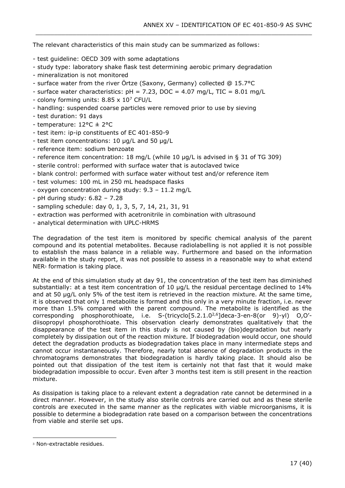The relevant characteristics of this main study can be summarized as follows:

- test guideline: OECD 309 with some adaptations
- study type: laboratory shake flask test determining aerobic primary degradation

\_\_\_\_\_\_\_\_\_\_\_\_\_\_\_\_\_\_\_\_\_\_\_\_\_\_\_\_\_\_\_\_\_\_\_\_\_\_\_\_\_\_\_\_\_\_\_\_\_\_\_\_\_\_\_\_\_\_\_\_\_\_\_\_\_\_\_\_\_\_\_\_\_\_\_

- mineralization is not monitored
- surface water from the river Örtze (Saxony, Germany) collected @ 15.7°C
- surface water characteristics:  $pH = 7.23$ , DOC = 4.07 mg/L, TIC = 8.01 mg/L
- colony forming units:  $8.85 \times 10^7$  CFU/L
- handling: suspended coarse particles were removed prior to use by sieving
- test duration: 91 days
- temperature: 12°C ± 2°C
- test item: ip-ip constituents of EC 401-850-9
- test item concentrations: 10 µg/L and 50 µg/L
- reference item: sodium benzoate
- reference item concentration: 18 mg/L (while 10 µg/L is advised in § 31 of TG 309)
- sterile control: performed with surface water that is autoclaved twice
- blank control: performed with surface water without test and/or reference item
- test volumes: 100 mL in 250 mL headspace flasks
- oxygen concentration during study: 9.3 11.2 mg/L
- pH during study: 6.82 7.28
- sampling schedule: day 0, 1, 3, 5, 7, 14, 21, 31, 91
- extraction was performed with acetronitrile in combination with ultrasound
- analytical determination with UPLC-HRMS

The degradation of the test item is monitored by specific chemical analysis of the parent compound and its potential metabolites. Because radiolabelling is not applied it is not possible to establish the mass balance in a reliable way. Furthermore and based on the information available in the study report, it was not possible to assess in a reasonable way to what extend NER<sup>3</sup> formation is taking place.

At the end of this simulation study at day 91, the concentration of the test item has diminished substantially: at a test item concentration of 10  $\mu$ g/L the residual percentage declined to 14% and at 50 µg/L only 5% of the test item is retrieved in the reaction mixture. At the same time, it is observed that only 1 metabolite is formed and this only in a very minute fraction, i.e. never more than 1.5% compared with the parent compound. The metabolite is identified as the corresponding phosphorothioate, i.e. S-(tricyclo[5.2.1.02,6]deca-3-en-8(or 9)-yl) O,O' diisopropyl phosphorothioate. This observation clearly demonstrates qualitatively that the disappearance of the test item in this study is not caused by (bio)degradation but nearly completely by dissipation out of the reaction mixture. If biodegradation would occur, one should detect the degradation products as biodegradation takes place in many intermediate steps and cannot occur instantaneously. Therefore, nearly total absence of degradation products in the chromatograms demonstrates that biodegradation is hardly taking place. It should also be pointed out that dissipation of the test item is certainly not that fast that it would make biodegradation impossible to occur. Even after 3 months test item is still present in the reaction mixture.

As dissipation is taking place to a relevant extent a degradation rate cannot be determined in a direct manner. However, in the study also sterile controls are carried out and as these sterile controls are executed in the same manner as the replicates with viable microorganisms, it is possible to determine a biodegradation rate based on a comparison between the concentrations from viable and sterile set ups.

<sup>3</sup> Non-extractable residues.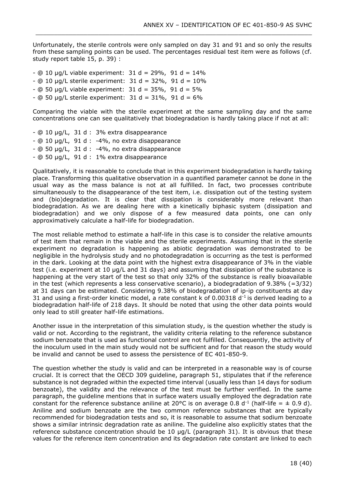Unfortunately, the sterile controls were only sampled on day 31 and 91 and so only the results from these sampling points can be used. The percentages residual test item were as follows (cf. study report table 15, p. 39) :

\_\_\_\_\_\_\_\_\_\_\_\_\_\_\_\_\_\_\_\_\_\_\_\_\_\_\_\_\_\_\_\_\_\_\_\_\_\_\_\_\_\_\_\_\_\_\_\_\_\_\_\_\_\_\_\_\_\_\_\_\_\_\_\_\_\_\_\_\_\_\_\_\_\_\_

 $-$  @ 10 µg/L viable experiment: 31 d = 29%, 91 d = 14%  $-$  @ 10 µg/L sterile experiment: 31 d = 32%, 91 d = 10%  $-$  @ 50 µg/L viable experiment: 31 d = 35%, 91 d = 5%  $-$  @ 50 µg/L sterile experiment: 31 d = 31%, 91 d = 6%

Comparing the viable with the sterile experiment at the same sampling day and the same concentrations one can see qualitatively that biodegradation is hardly taking place if not at all:

- @ 10 µg/L, 31 d : 3% extra disappearance - @ 10 µg/L, 91 d : -4%, no extra disappearance - @ 50 µg/L, 31 d : -4%, no extra disappearance - @ 50 µg/L, 91 d : 1% extra disappearance

Qualitatively, it is reasonable to conclude that in this experiment biodegradation is hardly taking place. Transforming this qualitative observation in a quantified parameter cannot be done in the usual way as the mass balance is not at all fulfilled. In fact, two processes contribute simultaneously to the disappearance of the test item, i.e. dissipation out of the testing system and (bio)degradation. It is clear that dissipation is considerably more relevant than biodegradation. As we are dealing here with a kinetically biphasic system (dissipation and biodegradation) and we only dispose of a few measured data points, one can only approximatively calculate a half-life for biodegradation.

The most reliable method to estimate a half-life in this case is to consider the relative amounts of test item that remain in the viable and the sterile experiments. Assuming that in the sterile experiment no degradation is happening as abiotic degradation was demonstrated to be negligible in the hydrolysis study and no photodegradation is occurring as the test is performed in the dark. Looking at the data point with the highest extra disappearance of 3% in the viable test (i.e. experiment at 10 µg/L and 31 days) and assuming that dissipation of the substance is happening at the very start of the test so that only 32% of the substance is really bioavailable in the test (which represents a less conservative scenario), a biodegradation of 9.38% (=3/32) at 31 days can be estimated. Considering 9.38% of biodegradation of ip-ip constituents at day 31 and using a first-order kinetic model, a rate constant k of 0.00318  $d^{-1}$  is derived leading to a biodegradation half-life of 218 days. It should be noted that using the other data points would only lead to still greater half-life estimations.

Another issue in the interpretation of this simulation study, is the question whether the study is valid or not. According to the registrant, the validity criteria relating to the reference substance sodium benzoate that is used as functional control are not fulfilled. Consequently, the activity of the inoculum used in the main study would not be sufficient and for that reason the study would be invalid and cannot be used to assess the persistence of EC 401-850-9.

The question whether the study is valid and can be interpreted in a reasonable way is of course crucial. It is correct that the OECD 309 guideline, paragraph 51, stipulates that if the reference substance is not degraded within the expected time interval (usually less than 14 days for sodium benzoate), the validity and the relevance of the test must be further verified. In the same paragraph, the guideline mentions that in surface waters usually employed the degradation rate constant for the reference substance aniline at 20°C is on average 0.8 d<sup>-1</sup> (half-life =  $\pm$  0.9 d). Aniline and sodium benzoate are the two common reference substances that are typically recommended for biodegradation tests and so, it is reasonable to assume that sodium benzoate shows a similar intrinsic degradation rate as aniline. The guideline also explicitly states that the reference substance concentration should be 10 µg/L (paragraph 31). It is obvious that these values for the reference item concentration and its degradation rate constant are linked to each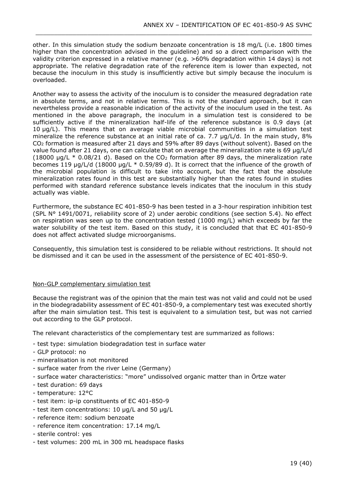other. In this simulation study the sodium benzoate concentration is 18 mg/L (i.e. 1800 times higher than the concentration advised in the guideline) and so a direct comparison with the validity criterion expressed in a relative manner (e.g. >60% degradation within 14 days) is not appropriate. The relative degradation rate of the reference item is lower than expected, not because the inoculum in this study is insufficiently active but simply because the inoculum is overloaded.

\_\_\_\_\_\_\_\_\_\_\_\_\_\_\_\_\_\_\_\_\_\_\_\_\_\_\_\_\_\_\_\_\_\_\_\_\_\_\_\_\_\_\_\_\_\_\_\_\_\_\_\_\_\_\_\_\_\_\_\_\_\_\_\_\_\_\_\_\_\_\_\_\_\_\_

Another way to assess the activity of the inoculum is to consider the measured degradation rate in absolute terms, and not in relative terms. This is not the standard approach, but it can nevertheless provide a reasonable indication of the activity of the inoculum used in the test. As mentioned in the above paragraph, the inoculum in a simulation test is considered to be sufficiently active if the mineralization half-life of the reference substance is 0.9 days (at 10 µg/L). This means that on average viable microbial communities in a simulation test mineralize the reference substance at an initial rate of ca. 7.7 µg/L/d. In the main study, 8% CO<sup>2</sup> formation is measured after 21 days and 59% after 89 days (without solvent). Based on the value found after 21 days, one can calculate that on average the mineralization rate is 69 µg/L/d (18000  $\mu$ g/L  $*$  0.08/21 d). Based on the CO<sub>2</sub> formation after 89 days, the mineralization rate becomes 119 µg/L/d (18000 µg/L \* 0.59/89 d). It is correct that the influence of the growth of the microbial population is difficult to take into account, but the fact that the absolute mineralization rates found in this test are substantially higher than the rates found in studies performed with standard reference substance levels indicates that the inoculum in this study actually was viable.

Furthermore, the substance EC 401-850-9 has been tested in a 3-hour respiration inhibition test (SPL N° 1491/0071, reliability score of 2) under aerobic conditions (see section 5.4). No effect on respiration was seen up to the concentration tested (1000 mg/L) which exceeds by far the water solubility of the test item. Based on this study, it is concluded that that EC 401-850-9 does not affect activated sludge microorganisms.

Consequently, this simulation test is considered to be reliable without restrictions. It should not be dismissed and it can be used in the assessment of the persistence of EC 401-850-9.

### Non-GLP complementary simulation test

Because the registrant was of the opinion that the main test was not valid and could not be used in the biodegradability assessment of EC 401-850-9, a complementary test was executed shortly after the main simulation test. This test is equivalent to a simulation test, but was not carried out according to the GLP protocol.

The relevant characteristics of the complementary test are summarized as follows:

- test type: simulation biodegradation test in surface water
- GLP protocol: no
- mineralisation is not monitored
- surface water from the river Leine (Germany)
- surface water characteristics: "more" undissolved organic matter than in Örtze water
- test duration: 69 days
- temperature: 12°C
- test item: ip-ip constituents of EC 401-850-9
- test item concentrations: 10 µg/L and 50 µg/L
- reference item: sodium benzoate
- reference item concentration: 17.14 mg/L
- sterile control: yes
- test volumes: 200 mL in 300 mL headspace flasks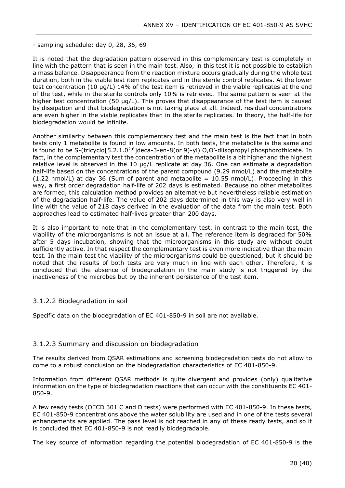- sampling schedule: day 0, 28, 36, 69

It is noted that the degradation pattern observed in this complementary test is completely in line with the pattern that is seen in the main test. Also, in this test it is not possible to establish a mass balance. Disappearance from the reaction mixture occurs gradually during the whole test duration, both in the viable test item replicates and in the sterile control replicates. At the lower test concentration (10 µg/L) 14% of the test item is retrieved in the viable replicates at the end of the test, while in the sterile controls only 10% is retrieved. The same pattern is seen at the higher test concentration (50 µg/L). This proves that disappearance of the test item is caused by dissipation and that biodegradation is not taking place at all. Indeed, residual concentrations are even higher in the viable replicates than in the sterile replicates. In theory, the half-life for biodegradation would be infinite.

\_\_\_\_\_\_\_\_\_\_\_\_\_\_\_\_\_\_\_\_\_\_\_\_\_\_\_\_\_\_\_\_\_\_\_\_\_\_\_\_\_\_\_\_\_\_\_\_\_\_\_\_\_\_\_\_\_\_\_\_\_\_\_\_\_\_\_\_\_\_\_\_\_\_\_

Another similarity between this complementary test and the main test is the fact that in both tests only 1 metabolite is found in low amounts. In both tests, the metabolite is the same and is found to be S-(tricyclo[5.2.1.0<sup>2,6</sup>]deca-3-en-8(or 9)-yl) O,O'-diisopropyl phosphorothioate. In fact, in the complementary test the concentration of the metabolite is a bit higher and the highest relative level is observed in the 10 µg/L replicate at day 36. One can estimate a degradation half-life based on the concentrations of the parent compound (9.29 nmol/L) and the metabolite  $(1.22 \text{ nmol/L})$  at day 36 (Sum of parent and metabolite = 10.55 nmol/L). Proceeding in this way, a first order degradation half-life of 202 days is estimated. Because no other metabolites are formed, this calculation method provides an alternative but nevertheless reliable estimation of the degradation half-life. The value of 202 days determined in this way is also very well in line with the value of 218 days derived in the evaluation of the data from the main test. Both approaches lead to estimated half-lives greater than 200 days.

It is also important to note that in the complementary test, in contrast to the main test, the viability of the microorganisms is not an issue at all. The reference item is degraded for 50% after 5 days incubation, showing that the microorganisms in this study are without doubt sufficiently active. In that respect the complementary test is even more indicative than the main test. In the main test the viability of the microorganisms could be questioned, but it should be noted that the results of both tests are very much in line with each other. Therefore, it is concluded that the absence of biodegradation in the main study is not triggered by the inactiveness of the microbes but by the inherent persistence of the test item.

### 3.1.2.2 Biodegradation in soil

Specific data on the biodegradation of EC 401-850-9 in soil are not available.

### 3.1.2.3 Summary and discussion on biodegradation

The results derived from QSAR estimations and screening biodegradation tests do not allow to come to a robust conclusion on the biodegradation characteristics of EC 401-850-9.

Information from different QSAR methods is quite divergent and provides (only) qualitative information on the type of biodegradation reactions that can occur with the constituents EC 401- 850-9.

A few ready tests (OECD 301 C and D tests) were performed with EC 401-850-9. In these tests, EC 401-850-9 concentrations above the water solubility are used and in one of the tests several enhancements are applied. The pass level is not reached in any of these ready tests, and so it is concluded that EC 401-850-9 is not readily biodegradable.

The key source of information regarding the potential biodegradation of EC 401-850-9 is the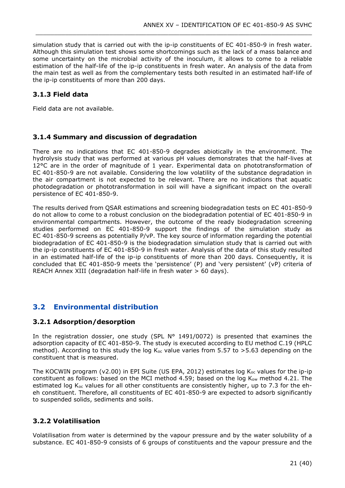simulation study that is carried out with the ip-ip constituents of EC 401-850-9 in fresh water. Although this simulation test shows some shortcomings such as the lack of a mass balance and some uncertainty on the microbial activity of the inoculum, it allows to come to a reliable estimation of the half-life of the ip-ip constituents in fresh water. An analysis of the data from the main test as well as from the complementary tests both resulted in an estimated half-life of the ip-ip constituents of more than 200 days.

\_\_\_\_\_\_\_\_\_\_\_\_\_\_\_\_\_\_\_\_\_\_\_\_\_\_\_\_\_\_\_\_\_\_\_\_\_\_\_\_\_\_\_\_\_\_\_\_\_\_\_\_\_\_\_\_\_\_\_\_\_\_\_\_\_\_\_\_\_\_\_\_\_\_\_

### <span id="page-20-0"></span>**3.1.3 Field data**

Field data are not available.

### <span id="page-20-1"></span>**3.1.4 Summary and discussion of degradation**

There are no indications that EC 401-850-9 degrades abiotically in the environment. The hydrolysis study that was performed at various pH values demonstrates that the half-lives at 12°C are in the order of magnitude of 1 year. Experimental data on phototransformation of EC 401-850-9 are not available. Considering the low volatility of the substance degradation in the air compartment is not expected to be relevant. There are no indications that aquatic photodegradation or phototransformation in soil will have a significant impact on the overall persistence of EC 401-850-9.

The results derived from QSAR estimations and screening biodegradation tests on EC 401-850-9 do not allow to come to a robust conclusion on the biodegradation potential of EC 401-850-9 in environmental compartments. However, the outcome of the ready biodegradation screening studies performed on EC 401-850-9 support the findings of the simulation study as EC 401-850-9 screens as potentially P/vP. The key source of information regarding the potential biodegradation of EC 401-850-9 is the biodegradation simulation study that is carried out with the ip-ip constituents of EC 401-850-9 in fresh water. Analysis of the data of this study resulted in an estimated half-life of the ip-ip constituents of more than 200 days. Consequently, it is concluded that EC 401-850-9 meets the 'persistence' (P) and 'very persistent' (vP) criteria of REACH Annex XIII (degradation half-life in fresh water > 60 days).

## <span id="page-20-2"></span>**3.2 Environmental distribution**

### <span id="page-20-3"></span>**3.2.1 Adsorption/desorption**

In the registration dossier, one study (SPL  $N^{\circ}$  1491/0072) is presented that examines the adsorption capacity of EC 401-850-9. The study is executed according to EU method C.19 (HPLC method). According to this study the log  $K_{oc}$  value varies from 5.57 to >5.63 depending on the constituent that is measured.

The KOCWIN program (v2.00) in EPI Suite (US EPA, 2012) estimates log  $K_{oc}$  values for the ip-ip constituent as follows: based on the MCI method 4.59; based on the log  $K_{ow}$  method 4.21. The estimated log  $K_{oc}$  values for all other constituents are consistently higher, up to 7.3 for the eheh constituent. Therefore, all constituents of EC 401-850-9 are expected to adsorb significantly to suspended solids, sediments and soils.

### <span id="page-20-4"></span>**3.2.2 Volatilisation**

Volatilisation from water is determined by the vapour pressure and by the water solubility of a substance. EC 401-850-9 consists of 6 groups of constituents and the vapour pressure and the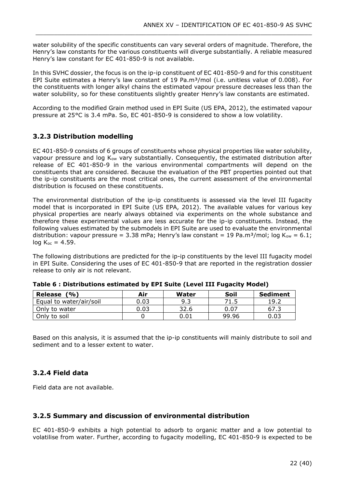water solubility of the specific constituents can vary several orders of magnitude. Therefore, the Henry's law constants for the various constituents will diverge substantially. A reliable measured Henry's law constant for EC 401-850-9 is not available.

\_\_\_\_\_\_\_\_\_\_\_\_\_\_\_\_\_\_\_\_\_\_\_\_\_\_\_\_\_\_\_\_\_\_\_\_\_\_\_\_\_\_\_\_\_\_\_\_\_\_\_\_\_\_\_\_\_\_\_\_\_\_\_\_\_\_\_\_\_\_\_\_\_\_\_

In this SVHC dossier, the focus is on the ip-ip constituent of EC 401-850-9 and for this constituent EPI Suite estimates a Henry's law constant of 19 Pa.m<sup>3</sup>/mol (i.e. unitless value of 0.008). For the constituents with longer alkyl chains the estimated vapour pressure decreases less than the water solubility, so for these constituents slightly greater Henry's law constants are estimated.

According to the modified Grain method used in EPI Suite (US EPA, 2012), the estimated vapour pressure at 25°C is 3.4 mPa. So, EC 401-850-9 is considered to show a low volatility.

### <span id="page-21-0"></span>**3.2.3 Distribution modelling**

EC 401-850-9 consists of 6 groups of constituents whose physical properties like water solubility, vapour pressure and log  $K_{ow}$  vary substantially. Consequently, the estimated distribution after release of EC 401-850-9 in the various environmental compartments will depend on the constituents that are considered. Because the evaluation of the PBT properties pointed out that the ip-ip constituents are the most critical ones, the current assessment of the environmental distribution is focused on these constituents.

The environmental distribution of the ip-ip constituents is assessed via the level III fugacity model that is incorporated in EPI Suite (US EPA, 2012). The available values for various key physical properties are nearly always obtained via experiments on the whole substance and therefore these experimental values are less accurate for the ip-ip constituents. Instead, the following values estimated by the submodels in EPI Suite are used to evaluate the environmental distribution: vapour pressure = 3.38 mPa; Henry's law constant = 19 Pa.m<sup>3</sup>/mol; log K<sub>ow</sub> = 6.1;  $log K_{oc} = 4.59$ .

The following distributions are predicted for the ip-ip constituents by the level III fugacity model in EPI Suite. Considering the uses of EC 401-850-9 that are reported in the registration dossier release to only air is not relevant.

| Release<br>(%)          | Air  | Water | Soil  | <b>Sediment</b> |
|-------------------------|------|-------|-------|-----------------|
| Equal to water/air/soil | 0.03 | 9.3   | 71 5  | 19.2            |
| Only to water           | 0.03 | 32.6  | 0.07  | 67.3            |
| Only to soil            |      | 0.01  | 99.96 | 0.03            |

<span id="page-21-3"></span>

| Table 6 : Distributions estimated by EPI Suite (Level III Fugacity Model) |  |
|---------------------------------------------------------------------------|--|
|---------------------------------------------------------------------------|--|

Based on this analysis, it is assumed that the ip-ip constituents will mainly distribute to soil and sediment and to a lesser extent to water.

## <span id="page-21-1"></span>**3.2.4 Field data**

Field data are not available.

### <span id="page-21-2"></span>**3.2.5 Summary and discussion of environmental distribution**

EC 401-850-9 exhibits a high potential to adsorb to organic matter and a low potential to volatilise from water. Further, according to fugacity modelling, EC 401-850-9 is expected to be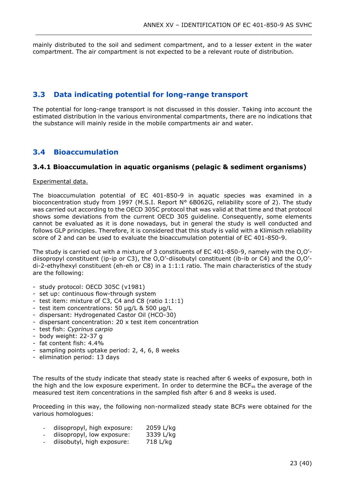mainly distributed to the soil and sediment compartment, and to a lesser extent in the water compartment. The air compartment is not expected to be a relevant route of distribution.

\_\_\_\_\_\_\_\_\_\_\_\_\_\_\_\_\_\_\_\_\_\_\_\_\_\_\_\_\_\_\_\_\_\_\_\_\_\_\_\_\_\_\_\_\_\_\_\_\_\_\_\_\_\_\_\_\_\_\_\_\_\_\_\_\_\_\_\_\_\_\_\_\_\_\_

## <span id="page-22-0"></span>**3.3 Data indicating potential for long-range transport**

The potential for long-range transport is not discussed in this dossier. Taking into account the estimated distribution in the various environmental compartments, there are no indications that the substance will mainly reside in the mobile compartments air and water.

## <span id="page-22-1"></span>**3.4 Bioaccumulation**

### <span id="page-22-2"></span>**3.4.1 Bioaccumulation in aquatic organisms (pelagic & sediment organisms)**

#### Experimental data.

The bioaccumulation potential of EC 401-850-9 in aquatic species was examined in a bioconcentration study from 1997 (M.S.I. Report N° 6B062G, reliability score of 2). The study was carried out according to the OECD 305C protocol that was valid at that time and that protocol shows some deviations from the current OECD 305 guideline. Consequently, some elements cannot be evaluated as it is done nowadays, but in general the study is well conducted and follows GLP principles. Therefore, it is considered that this study is valid with a Klimisch reliability score of 2 and can be used to evaluate the bioaccumulation potential of EC 401-850-9.

The study is carried out with a mixture of 3 constituents of EC 401-850-9, namely with the O,O' diisopropyl constituent (ip-ip or C3), the O,O'-diisobutyl constituent (ib-ib or C4) and the O,O' di-2-ethylhexyl constituent (eh-eh or C8) in a 1:1:1 ratio. The main characteristics of the study are the following:

- study protocol: OECD 305C (v1981)
- set up: continuous flow-through system
- test item: mixture of C3, C4 and C8 (ratio 1:1:1)
- test item concentrations: 50 µg/L & 500 µg/L
- dispersant: Hydrogenated Castor Oil (HCO-30)
- dispersant concentration: 20 x test item concentration
- test fish: *Cyprinus carpio*
- body weight: 22-37 g
- fat content fish: 4.4%
- sampling points uptake period: 2, 4, 6, 8 weeks
- elimination period: 13 days

The results of the study indicate that steady state is reached after 6 weeks of exposure, both in the high and the low exposure experiment. In order to determine the BCFss the average of the measured test item concentrations in the sampled fish after 6 and 8 weeks is used.

Proceeding in this way, the following non-normalized steady state BCFs were obtained for the various homologues:

- diisopropyl, high exposure: 2059 L/kg
- diisopropyl, low exposure: 3339 L/kg
- diisobutyl, high exposure: 718 L/kg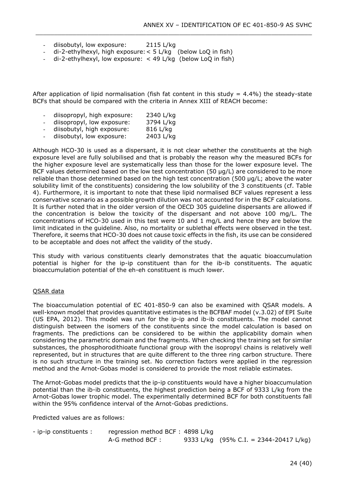- diisobutyl, low exposure: 2115 L/kg
- di-2-ethylhexyl, high exposure:< 5 L/kg (below LoQ in fish)
- di-2-ethylhexyl, low exposure:  $<$  49 L/kg (below LoQ in fish)

After application of lipid normalisation (fish fat content in this study  $= 4.4\%$ ) the steady-state BCFs that should be compared with the criteria in Annex XIII of REACH become:

\_\_\_\_\_\_\_\_\_\_\_\_\_\_\_\_\_\_\_\_\_\_\_\_\_\_\_\_\_\_\_\_\_\_\_\_\_\_\_\_\_\_\_\_\_\_\_\_\_\_\_\_\_\_\_\_\_\_\_\_\_\_\_\_\_\_\_\_\_\_\_\_\_\_\_

- diisopropyl, high exposure: 2340 L/kg
- diisopropyl, low exposure: 3794 L/kg
- diisobutyl, high exposure: 816 L/kg
- diisobutyl, low exposure: 2403 L/kg

Although HCO-30 is used as a dispersant, it is not clear whether the constituents at the high exposure level are fully solubilised and that is probably the reason why the measured BCFs for the higher exposure level are systematically less than those for the lower exposure level. The BCF values determined based on the low test concentration (50  $\mu$ g/L) are considered to be more reliable than those determined based on the high test concentration (500 µg/L; above the water solubility limit of the constituents) considering the low solubility of the 3 constituents (cf. Table 4). Furthermore, it is important to note that these lipid normalised BCF values represent a less conservative scenario as a possible growth dilution was not accounted for in the BCF calculations. It is further noted that in the older version of the OECD 305 guideline dispersants are allowed if the concentration is below the toxicity of the dispersant and not above 100 mg/L. The concentrations of HCO-30 used in this test were 10 and 1 mg/L and hence they are below the limit indicated in the guideline. Also, no mortality or sublethal effects were observed in the test. Therefore, it seems that HCO-30 does not cause toxic effects in the fish, its use can be considered to be acceptable and does not affect the validity of the study.

This study with various constituents clearly demonstrates that the aquatic bioaccumulation potential is higher for the ip-ip constituent than for the ib-ib constituents. The aquatic bioaccumulation potential of the eh-eh constituent is much lower.

#### QSAR data

The bioaccumulation potential of EC 401-850-9 can also be examined with QSAR models. A well-known model that provides quantitative estimates is the BCFBAF model (v.3.02) of EPI Suite (US EPA, 2012). This model was run for the ip-ip and ib-ib constituents. The model cannot distinguish between the isomers of the constituents since the model calculation is based on fragments. The predictions can be considered to be within the applicability domain when considering the parametric domain and the fragments. When checking the training set for similar substances, the phosphorodithioate functional group with the isopropyl chains is relatively well represented, but in structures that are quite different to the three ring carbon structure. There is no such structure in the training set. No correction factors were applied in the regression method and the Arnot-Gobas model is considered to provide the most reliable estimates.

The Arnot-Gobas model predicts that the ip-ip constituents would have a higher bioaccumulation potential than the ib-ib constituents, the highest prediction being a BCF of 9333 L/kg from the Arnot-Gobas lower trophic model. The experimentally determined BCF for both constituents fall within the 95% confidence interval of the Arnot-Gobas predictions.

Predicted values are as follows:

- ip-ip constituents : regression method BCF : 4898 L/kg A-G method BCF : 9333 L/kg (95% C.I. = 2344-20417 L/kg)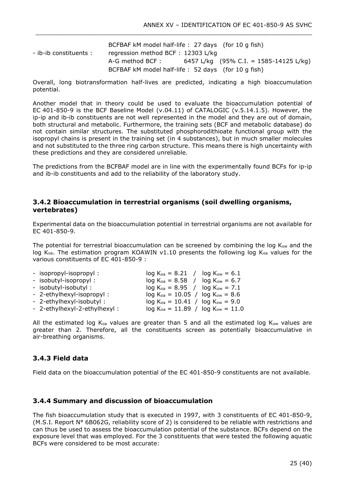BCFBAF kM model half-life : 27 days (for 10 g fish) - ib-ib constituents : regression method BCF : 12303 L/kg A-G method BCF : 6457 L/kg (95% C.I. = 1585-14125 L/kg) BCFBAF kM model half-life : 52 days (for 10 g fish)

\_\_\_\_\_\_\_\_\_\_\_\_\_\_\_\_\_\_\_\_\_\_\_\_\_\_\_\_\_\_\_\_\_\_\_\_\_\_\_\_\_\_\_\_\_\_\_\_\_\_\_\_\_\_\_\_\_\_\_\_\_\_\_\_\_\_\_\_\_\_\_\_\_\_\_

Overall, long biotransformation half-lives are predicted, indicating a high bioaccumulation potential.

Another model that in theory could be used to evaluate the bioaccumulation potential of EC 401-850-9 is the BCF Baseline Model (v.04.11) of CATALOGIC (v.5.14.1.5). However, the ip-ip and ib-ib constituents are not well represented in the model and they are out of domain, both structural and metabolic. Furthermore, the training sets (BCF and metabolic database) do not contain similar structures. The substituted phosphorodithioate functional group with the isopropyl chains is present in the training set (in 4 substances), but in much smaller molecules and not substituted to the three ring carbon structure. This means there is high uncertainty with these predictions and they are considered unreliable.

The predictions from the BCFBAF model are in line with the experimentally found BCFs for ip-ip and ib-ib constituents and add to the reliability of the laboratory study.

### <span id="page-24-0"></span>**3.4.2 Bioaccumulation in terrestrial organisms (soil dwelling organisms, vertebrates)**

Experimental data on the bioaccumulation potential in terrestrial organisms are not available for EC 401-850-9.

The potential for terrestrial bioaccumulation can be screened by combining the log  $K_{ow}$  and the log K<sub>oa</sub>. The estimation program KOAWIN v1.10 presents the following log K<sub>oa</sub> values for the various constituents of EC 401-850-9 :

| - isopropyl-isopropyl:       |  | $log K_{oa} = 8.21$ / $log K_{ow} = 6.1$   |  |  |  |
|------------------------------|--|--------------------------------------------|--|--|--|
| - isobutyl-isopropyl:        |  | $log K_{oa} = 8.58$ / $log K_{ow} = 6.7$   |  |  |  |
| - isobutyl-isobutyl:         |  | $log K_{oa} = 8.95$ / $log K_{ow} = 7.1$   |  |  |  |
| - 2-ethylhexyl-isopropyl:    |  | $log K_{oa} = 10.05 / log K_{ow} = 8.6$    |  |  |  |
| - 2-ethylhexyl-isobutyl:     |  | $log K_{oa} = 10.41 / log K_{ow} = 9.0$    |  |  |  |
| - 2-ethylhexyl-2-ethylhexyl: |  | $log K_{oa} = 11.89$ / $log K_{ow} = 11.0$ |  |  |  |

All the estimated log  $K_{oa}$  values are greater than 5 and all the estimated log  $K_{ow}$  values are greater than 2. Therefore, all the constituents screen as potentially bioaccumulative in air-breathing organisms.

### <span id="page-24-1"></span>**3.4.3 Field data**

Field data on the bioaccumulation potential of the EC 401-850-9 constituents are not available.

### <span id="page-24-2"></span>**3.4.4 Summary and discussion of bioaccumulation**

The fish bioaccumulation study that is executed in 1997, with 3 constituents of EC 401-850-9, (M.S.I. Report N° 6B062G, reliability score of 2) is considered to be reliable with restrictions and can thus be used to assess the bioaccumulation potential of the substance. BCFs depend on the exposure level that was employed. For the 3 constituents that were tested the following aquatic BCFs were considered to be most accurate: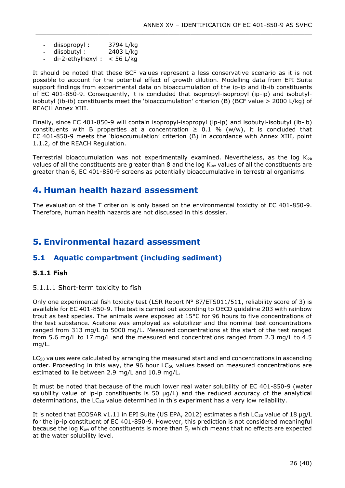- diisopropyl: 3794 L/kg
- diisobutyl: 2403 L/kg
- $di-2-ethylhexyl: < 56$  L/kg

It should be noted that these BCF values represent a less conservative scenario as it is not possible to account for the potential effect of growth dilution. Modelling data from EPI Suite support findings from experimental data on bioaccumulation of the ip-ip and ib-ib constituents of EC 401-850-9. Consequently, it is concluded that isopropyl-isopropyl (ip-ip) and isobutylisobutyl (ib-ib) constituents meet the 'bioaccumulation' criterion (B) (BCF value > 2000 L/kg) of REACH Annex XIII.

\_\_\_\_\_\_\_\_\_\_\_\_\_\_\_\_\_\_\_\_\_\_\_\_\_\_\_\_\_\_\_\_\_\_\_\_\_\_\_\_\_\_\_\_\_\_\_\_\_\_\_\_\_\_\_\_\_\_\_\_\_\_\_\_\_\_\_\_\_\_\_\_\_\_\_

Finally, since EC 401-850-9 will contain isopropyl-isopropyl (ip-ip) and isobutyl-isobutyl (ib-ib) constituents with B properties at a concentration  $\geq$  0.1 % (w/w), it is concluded that EC 401-850-9 meets the 'bioaccumulation' criterion (B) in accordance with Annex XIII, point 1.1.2, of the REACH Regulation.

Terrestrial bioaccumulation was not experimentally examined. Nevertheless, as the log Koa values of all the constituents are greater than 8 and the log  $K_{ow}$  values of all the constituents are greater than 6, EC 401-850-9 screens as potentially bioaccumulative in terrestrial organisms.

## <span id="page-25-0"></span>**4. Human health hazard assessment**

The evaluation of the T criterion is only based on the environmental toxicity of EC 401-850-9. Therefore, human health hazards are not discussed in this dossier.

## <span id="page-25-1"></span>**5. Environmental hazard assessment**

## <span id="page-25-2"></span>**5.1 Aquatic compartment (including sediment)**

### <span id="page-25-3"></span>**5.1.1 Fish**

5.1.1.1 Short-term toxicity to fish

Only one experimental fish toxicity test (LSR Report N° 87/ETS011/511, reliability score of 3) is available for EC 401-850-9. The test is carried out according to OECD guideline 203 with rainbow trout as test species. The animals were exposed at 15°C for 96 hours to five concentrations of the test substance. Acetone was employed as solubilizer and the nominal test concentrations ranged from 313 mg/L to 5000 mg/L. Measured concentrations at the start of the test ranged from 5.6 mg/L to 17 mg/L and the measured end concentrations ranged from 2.3 mg/L to 4.5 mg/L.

LC<sup>50</sup> values were calculated by arranging the measured start and end concentrations in ascending order. Proceeding in this way, the 96 hour  $LC_{50}$  values based on measured concentrations are estimated to lie between 2.9 mg/L and 10.9 mg/L.

It must be noted that because of the much lower real water solubility of EC 401-850-9 (water solubility value of ip-ip constituents is 50  $\mu q/L$ ) and the reduced accuracy of the analytical determinations, the LC<sub>50</sub> value determined in this experiment has a very low reliability.

It is noted that ECOSAR v1.11 in EPI Suite (US EPA, 2012) estimates a fish LC<sub>50</sub> value of 18 µg/L for the ip-ip constituent of EC 401-850-9. However, this prediction is not considered meaningful because the log Kow of the constituents is more than 5, which means that no effects are expected at the water solubility level.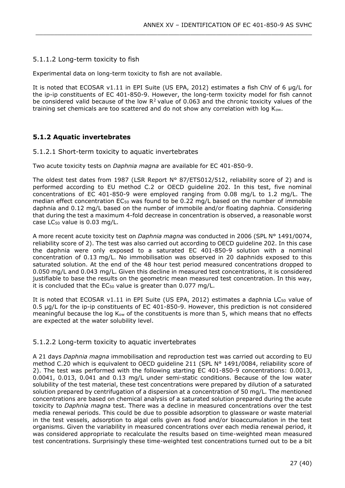### 5.1.1.2 Long-term toxicity to fish

Experimental data on long-term toxicity to fish are not available.

It is noted that ECOSAR v1.11 in EPI Suite (US EPA, 2012) estimates a fish ChV of 6 µg/L for the ip-ip constituents of EC 401-850-9. However, the long-term toxicity model for fish cannot be considered valid because of the low  $R^2$  value of 0.063 and the chronic toxicity values of the training set chemicals are too scattered and do not show any correlation with log Kow.

\_\_\_\_\_\_\_\_\_\_\_\_\_\_\_\_\_\_\_\_\_\_\_\_\_\_\_\_\_\_\_\_\_\_\_\_\_\_\_\_\_\_\_\_\_\_\_\_\_\_\_\_\_\_\_\_\_\_\_\_\_\_\_\_\_\_\_\_\_\_\_\_\_\_\_

### <span id="page-26-0"></span>**5.1.2 Aquatic invertebrates**

#### 5.1.2.1 Short-term toxicity to aquatic invertebrates

Two acute toxicity tests on *Daphnia magna* are available for EC 401-850-9.

The oldest test dates from 1987 (LSR Report  $N^{\circ}$  87/ETS012/512, reliability score of 2) and is performed according to EU method C.2 or OECD guideline 202. In this test, five nominal concentrations of EC 401-850-9 were employed ranging from 0.08 mg/L to 1.2 mg/L. The median effect concentration EC<sub>50</sub> was found to be 0.22 mg/L based on the number of immobile daphnia and 0.12 mg/L based on the number of immobile and/or floating daphnia. Considering that during the test a maximum 4-fold decrease in concentration is observed, a reasonable worst case LC<sub>50</sub> value is 0.03 mg/L.

A more recent acute toxicity test on *Daphnia magna* was conducted in 2006 (SPL N° 1491/0074, reliability score of 2). The test was also carried out according to OECD guideline 202. In this case the daphnia were only exposed to a saturated EC 401-850-9 solution with a nominal concentration of 0.13 mg/L. No immobilisation was observed in 20 daphnids exposed to this saturated solution. At the end of the 48 hour test period measured concentrations dropped to 0.050 mg/L and 0.043 mg/L. Given this decline in measured test concentrations, it is considered justifiable to base the results on the geometric mean measured test concentration. In this way, it is concluded that the  $EC_{50}$  value is greater than 0.077 mg/L.

It is noted that ECOSAR v1.11 in EPI Suite (US EPA, 2012) estimates a daphnia LC<sub>50</sub> value of 0.5 µg/L for the ip-ip constituents of EC 401-850-9. However, this prediction is not considered meaningful because the log K<sub>ow</sub> of the constituents is more than 5, which means that no effects are expected at the water solubility level.

### 5.1.2.2 Long-term toxicity to aquatic invertebrates

A 21 days *Daphnia magna* immobilisation and reproduction test was carried out according to EU method C.20 which is equivalent to OECD guideline 211 (SPL N° 1491/0084, reliability score of 2). The test was performed with the following starting EC 401-850-9 concentrations: 0.0013, 0.0041, 0.013, 0.041 and 0.13 mg/L under semi-static conditions. Because of the low water solubility of the test material, these test concentrations were prepared by dilution of a saturated solution prepared by centrifugation of a dispersion at a concentration of 50 mg/L. The mentioned concentrations are based on chemical analysis of a saturated solution prepared during the acute toxicity to *Daphnia magna* test. There was a decline in measured concentrations over the test media renewal periods. This could be due to possible adsorption to glassware or waste material in the test vessels, adsorption to algal cells given as food and/or bioaccumulation in the test organisms. Given the variability in measured concentrations over each media renewal period, it was considered appropriate to recalculate the results based on time-weighted mean measured test concentrations. Surprisingly these time-weighted test concentrations turned out to be a bit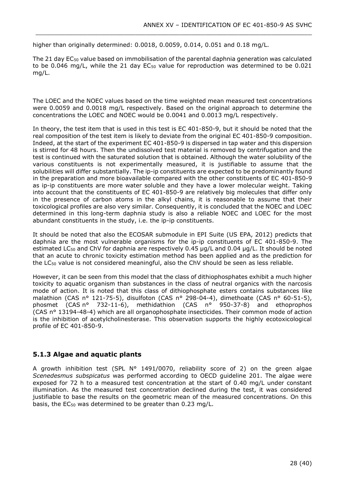higher than originally determined: 0.0018, 0.0059, 0.014, 0.051 and 0.18 mg/L.

The 21 day EC<sub>50</sub> value based on immobilisation of the parental daphnia generation was calculated to be 0.046 mg/L, while the 21 day  $EC_{50}$  value for reproduction was determined to be 0.021 mg/L.

\_\_\_\_\_\_\_\_\_\_\_\_\_\_\_\_\_\_\_\_\_\_\_\_\_\_\_\_\_\_\_\_\_\_\_\_\_\_\_\_\_\_\_\_\_\_\_\_\_\_\_\_\_\_\_\_\_\_\_\_\_\_\_\_\_\_\_\_\_\_\_\_\_\_\_

The LOEC and the NOEC values based on the time weighted mean measured test concentrations were 0.0059 and 0.0018 mg/L respectively. Based on the original approach to determine the concentrations the LOEC and NOEC would be 0.0041 and 0.0013 mg/L respectively.

In theory, the test item that is used in this test is EC 401-850-9, but it should be noted that the real composition of the test item is likely to deviate from the original EC 401-850-9 composition. Indeed, at the start of the experiment EC 401-850-9 is dispersed in tap water and this dispersion is stirred for 48 hours. Then the undissolved test material is removed by centrifugation and the test is continued with the saturated solution that is obtained. Although the water solubility of the various constituents is not experimentally measured, it is justifiable to assume that the solubilities will differ substantially. The ip-ip constituents are expected to be predominantly found in the preparation and more bioavailable compared with the other constituents of EC 401-850-9 as ip-ip constituents are more water soluble and they have a lower molecular weight. Taking into account that the constituents of EC 401-850-9 are relatively big molecules that differ only in the presence of carbon atoms in the alkyl chains, it is reasonable to assume that their toxicological profiles are also very similar. Consequently, it is concluded that the NOEC and LOEC determined in this long-term daphnia study is also a reliable NOEC and LOEC for the most abundant constituents in the study, i.e. the ip-ip constituents.

It should be noted that also the ECOSAR submodule in EPI Suite (US EPA, 2012) predicts that daphnia are the most vulnerable organisms for the ip-ip constituents of EC 401-850-9. The estimated LC<sub>50</sub> and ChV for daphnia are respectively 0.45 µg/L and 0.04 µg/L. It should be noted that an acute to chronic toxicity estimation method has been applied and as the prediction for the LC<sub>50</sub> value is not considered meaningful, also the ChV should be seen as less reliable.

However, it can be seen from this model that the class of dithiophosphates exhibit a much higher toxicity to aquatic organism than substances in the class of neutral organics with the narcosis mode of action. It is noted that this class of dithiophosphate esters contains substances like malathion (CAS nº 121-75-5), disulfoton (CAS nº 298-04-4), dimethoate (CAS nº 60-51-5), phosmet (CAS n° 732-11-6), methidathion (CAS n° 950-37-8) and ethoprophos (CAS n° 13194-48-4) which are all organophosphate insecticides. Their common mode of action is the inhibition of acetylcholinesterase. This observation supports the highly ecotoxicological profile of EC 401-850-9.

### <span id="page-27-0"></span>**5.1.3 Algae and aquatic plants**

A growth inhibition test (SPL N° 1491/0070, reliability score of 2) on the green algae *Scenedesmus subspicatus* was performed according to OECD guideline 201. The algae were exposed for 72 h to a measured test concentration at the start of 0.40 mg/L under constant illumination. As the measured test concentration declined during the test, it was considered justifiable to base the results on the geometric mean of the measured concentrations. On this basis, the EC<sub>50</sub> was determined to be greater than 0.23 mg/L.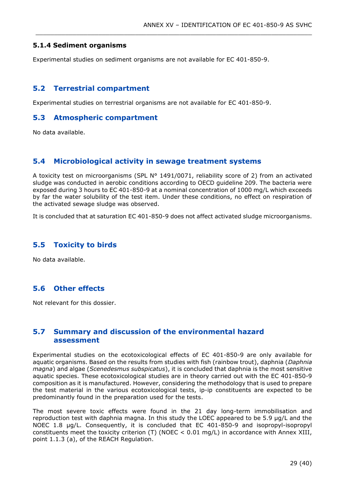### <span id="page-28-0"></span>**5.1.4 Sediment organisms**

Experimental studies on sediment organisms are not available for EC 401-850-9.

\_\_\_\_\_\_\_\_\_\_\_\_\_\_\_\_\_\_\_\_\_\_\_\_\_\_\_\_\_\_\_\_\_\_\_\_\_\_\_\_\_\_\_\_\_\_\_\_\_\_\_\_\_\_\_\_\_\_\_\_\_\_\_\_\_\_\_\_\_\_\_\_\_\_\_

### <span id="page-28-1"></span>**5.2 Terrestrial compartment**

Experimental studies on terrestrial organisms are not available for EC 401-850-9.

### <span id="page-28-2"></span>**5.3 Atmospheric compartment**

No data available.

### <span id="page-28-3"></span>**5.4 Microbiological activity in sewage treatment systems**

A toxicity test on microorganisms (SPL N° 1491/0071, reliability score of 2) from an activated sludge was conducted in aerobic conditions according to OECD guideline 209. The bacteria were exposed during 3 hours to EC 401-850-9 at a nominal concentration of 1000 mg/L which exceeds by far the water solubility of the test item. Under these conditions, no effect on respiration of the activated sewage sludge was observed.

It is concluded that at saturation EC 401-850-9 does not affect activated sludge microorganisms.

### <span id="page-28-4"></span>**5.5 Toxicity to birds**

No data available.

## <span id="page-28-5"></span>**5.6 Other effects**

Not relevant for this dossier.

### <span id="page-28-6"></span>**5.7 Summary and discussion of the environmental hazard assessment**

Experimental studies on the ecotoxicological effects of EC 401-850-9 are only available for aquatic organisms. Based on the results from studies with fish (rainbow trout), daphnia (*Daphnia magna*) and algae (*Scenedesmus subspicatus*), it is concluded that daphnia is the most sensitive aquatic species. These ecotoxicological studies are in theory carried out with the EC 401-850-9 composition as it is manufactured. However, considering the methodology that is used to prepare the test material in the various ecotoxicological tests, ip-ip constituents are expected to be predominantly found in the preparation used for the tests.

The most severe toxic effects were found in the 21 day long-term immobilisation and reproduction test with daphnia magna. In this study the LOEC appeared to be 5.9 µg/L and the NOEC 1.8 µg/L. Consequently, it is concluded that EC 401-850-9 and isopropyl-isopropyl constituents meet the toxicity criterion (T) (NOEC < 0.01 mg/L) in accordance with Annex XIII, point 1.1.3 (a), of the REACH Regulation.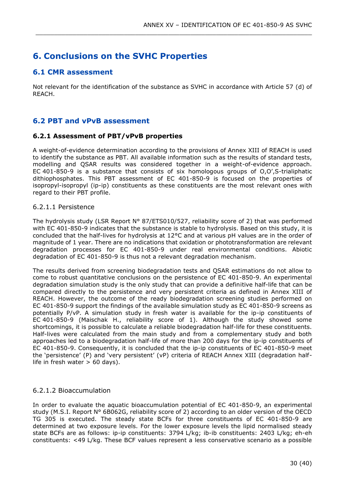## <span id="page-29-0"></span>**6. Conclusions on the SVHC Properties**

### <span id="page-29-1"></span>**6.1 CMR assessment**

Not relevant for the identification of the substance as SVHC in accordance with Article 57 (d) of REACH.

\_\_\_\_\_\_\_\_\_\_\_\_\_\_\_\_\_\_\_\_\_\_\_\_\_\_\_\_\_\_\_\_\_\_\_\_\_\_\_\_\_\_\_\_\_\_\_\_\_\_\_\_\_\_\_\_\_\_\_\_\_\_\_\_\_\_\_\_\_\_\_\_\_\_\_

### <span id="page-29-2"></span>**6.2 PBT and vPvB assessment**

### <span id="page-29-3"></span>**6.2.1 Assessment of PBT/vPvB properties**

A weight-of-evidence determination according to the provisions of Annex XIII of REACH is used to identify the substance as PBT. All available information such as the results of standard tests, modelling and QSAR results was considered together in a weight-of-evidence approach. EC 401-850-9 is a substance that consists of six homologous groups of O,O',S-trialiphatic dithiophosphates. This PBT assessment of EC 401-850-9 is focused on the properties of isopropyl-isopropyl (ip-ip) constituents as these constituents are the most relevant ones with regard to their PBT profile.

### 6.2.1.1 Persistence

The hydrolysis study (LSR Report  $N^{\circ}$  87/ETS010/527, reliability score of 2) that was performed with EC 401-850-9 indicates that the substance is stable to hydrolysis. Based on this study, it is concluded that the half-lives for hydrolysis at 12°C and at various pH values are in the order of magnitude of 1 year. There are no indications that oxidation or phototransformation are relevant degradation processes for EC 401-850-9 under real environmental conditions. Abiotic degradation of EC 401-850-9 is thus not a relevant degradation mechanism.

The results derived from screening biodegradation tests and QSAR estimations do not allow to come to robust quantitative conclusions on the persistence of EC 401-850-9. An experimental degradation simulation study is the only study that can provide a definitive half-life that can be compared directly to the persistence and very persistent criteria as defined in Annex XIII of REACH. However, the outcome of the ready biodegradation screening studies performed on EC 401-850-9 support the findings of the available simulation study as EC 401-850-9 screens as potentially P/vP. A simulation study in fresh water is available for the ip-ip constituents of EC 401-850-9 (Maischak H., reliability score of 1). Although the study showed some shortcomings, it is possible to calculate a reliable biodegradation half-life for these constituents. Half-lives were calculated from the main study and from a complementary study and both approaches led to a biodegradation half-life of more than 200 days for the ip-ip constituents of EC 401-850-9. Consequently, it is concluded that the ip-ip constituents of EC 401-850-9 meet the 'persistence' (P) and 'very persistent' (vP) criteria of REACH Annex XIII (degradation halflife in fresh water  $> 60$  days).

### 6.2.1.2 Bioaccumulation

In order to evaluate the aquatic bioaccumulation potential of EC 401-850-9, an experimental study (M.S.I. Report N° 6B062G, reliability score of 2) according to an older version of the OECD TG 305 is executed. The steady state BCFs for three constituents of EC 401-850-9 are determined at two exposure levels. For the lower exposure levels the lipid normalised steady state BCFs are as follows: ip-ip constituents: 3794 L/kg; ib-ib constituents: 2403 L/kg; eh-eh constituents: <49 L/kg. These BCF values represent a less conservative scenario as a possible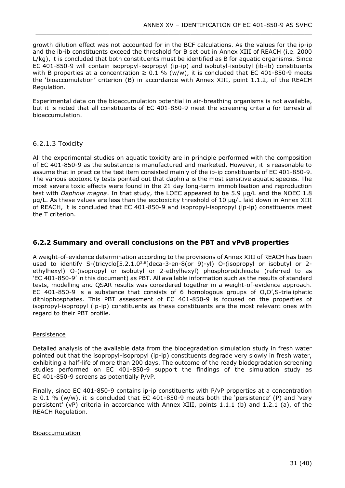growth dilution effect was not accounted for in the BCF calculations. As the values for the ip-ip and the ib-ib constituents exceed the threshold for B set out in Annex XIII of REACH (i.e. 2000 L/kg), it is concluded that both constituents must be identified as B for aquatic organisms. Since EC 401-850-9 will contain isopropyl-isopropyl (ip-ip) and isobutyl-isobutyl (ib-ib) constituents with B properties at a concentration  $\geq 0.1$  % (w/w), it is concluded that EC 401-850-9 meets the 'bioaccumulation' criterion (B) in accordance with Annex XIII, point 1.1.2, of the REACH Regulation.

\_\_\_\_\_\_\_\_\_\_\_\_\_\_\_\_\_\_\_\_\_\_\_\_\_\_\_\_\_\_\_\_\_\_\_\_\_\_\_\_\_\_\_\_\_\_\_\_\_\_\_\_\_\_\_\_\_\_\_\_\_\_\_\_\_\_\_\_\_\_\_\_\_\_\_

Experimental data on the bioaccumulation potential in air-breathing organisms is not available, but it is noted that all constituents of EC 401-850-9 meet the screening criteria for terrestrial bioaccumulation.

### 6.2.1.3 Toxicity

All the experimental studies on aquatic toxicity are in principle performed with the composition of EC 401-850-9 as the substance is manufactured and marketed. However, it is reasonable to assume that in practice the test item consisted mainly of the ip-ip constituents of EC 401-850-9. The various ecotoxicity tests pointed out that daphnia is the most sensitive aquatic species. The most severe toxic effects were found in the 21 day long-term immobilisation and reproduction test with *Daphnia magna*. In that study, the LOEC appeared to be 5.9 µg/L and the NOEC 1.8 µg/L. As these values are less than the ecotoxicity threshold of 10 µg/L laid down in Annex XIII of REACH, it is concluded that EC 401-850-9 and isopropyl-isopropyl (ip-ip) constituents meet the T criterion.

### <span id="page-30-0"></span>**6.2.2 Summary and overall conclusions on the PBT and vPvB properties**

A weight-of-evidence determination according to the provisions of Annex XIII of REACH has been used to identify S-(tricyclo[5.2.1.0<sup>2,6</sup>]deca-3-en-8(or 9)-yl) O-(isopropyl or isobutyl or 2ethylhexyl) O-(isopropyl or isobutyl or 2-ethylhexyl) phosphorodithioate (referred to as 'EC 401-850-9' in this document) as PBT. All available information such as the results of standard tests, modelling and QSAR results was considered together in a weight-of-evidence approach. EC 401-850-9 is a substance that consists of 6 homologous groups of O,O',S-trialiphatic dithiophosphates. This PBT assessment of EC 401-850-9 is focused on the properties of isopropyl-isopropyl (ip-ip) constituents as these constituents are the most relevant ones with regard to their PBT profile.

### **Persistence**

Detailed analysis of the available data from the biodegradation simulation study in fresh water pointed out that the isopropyl-isopropyl (ip-ip) constituents degrade very slowly in fresh water, exhibiting a half-life of more than 200 days. The outcome of the ready biodegradation screening studies performed on EC 401-850-9 support the findings of the simulation study as EC 401-850-9 screens as potentially P/vP.

Finally, since EC 401-850-9 contains ip-ip constituents with P/vP properties at a concentration  $\geq 0.1$  % (w/w), it is concluded that EC 401-850-9 meets both the 'persistence' (P) and 'very persistent' (vP) criteria in accordance with Annex XIII, points 1.1.1 (b) and 1.2.1 (a), of the REACH Regulation.

#### Bioaccumulation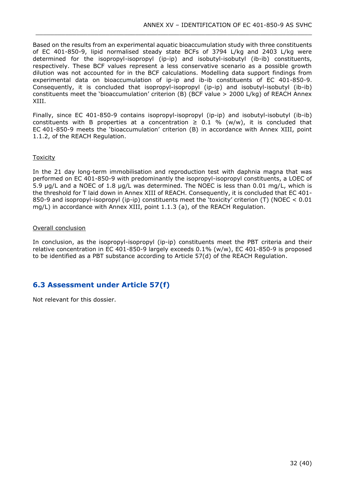Based on the results from an experimental aquatic bioaccumulation study with three constituents of EC 401-850-9, lipid normalised steady state BCFs of 3794 L/kg and 2403 L/kg were determined for the isopropyl-isopropyl (ip-ip) and isobutyl-isobutyl (ib-ib) constituents, respectively. These BCF values represent a less conservative scenario as a possible growth dilution was not accounted for in the BCF calculations. Modelling data support findings from experimental data on bioaccumulation of ip-ip and ib-ib constituents of EC 401-850-9. Consequently, it is concluded that isopropyl-isopropyl (ip-ip) and isobutyl-isobutyl (ib-ib) constituents meet the 'bioaccumulation' criterion (B) (BCF value > 2000 L/kg) of REACH Annex XIII.

\_\_\_\_\_\_\_\_\_\_\_\_\_\_\_\_\_\_\_\_\_\_\_\_\_\_\_\_\_\_\_\_\_\_\_\_\_\_\_\_\_\_\_\_\_\_\_\_\_\_\_\_\_\_\_\_\_\_\_\_\_\_\_\_\_\_\_\_\_\_\_\_\_\_\_

Finally, since EC 401-850-9 contains isopropyl-isopropyl (ip-ip) and isobutyl-isobutyl (ib-ib) constituents with B properties at a concentration  $\geq$  0.1 % (w/w), it is concluded that EC 401-850-9 meets the 'bioaccumulation' criterion (B) in accordance with Annex XIII, point 1.1.2, of the REACH Regulation.

### Toxicity

In the 21 day long-term immobilisation and reproduction test with daphnia magna that was performed on EC 401-850-9 with predominantly the isopropyl-isopropyl constituents, a LOEC of 5.9 µg/L and a NOEC of 1.8 µg/L was determined. The NOEC is less than 0.01 mg/L, which is the threshold for T laid down in Annex XIII of REACH. Consequently, it is concluded that EC 401- 850-9 and isopropyl-isopropyl (ip-ip) constituents meet the 'toxicity' criterion (T) (NOEC < 0.01 mg/L) in accordance with Annex XIII, point 1.1.3 (a), of the REACH Regulation.

#### Overall conclusion

In conclusion, as the isopropyl-isopropyl (ip-ip) constituents meet the PBT criteria and their relative concentration in EC 401-850-9 largely exceeds 0.1% (w/w), EC 401-850-9 is proposed to be identified as a PBT substance according to Article 57(d) of the REACH Regulation.

## <span id="page-31-0"></span>**6.3 Assessment under Article 57(f)**

Not relevant for this dossier.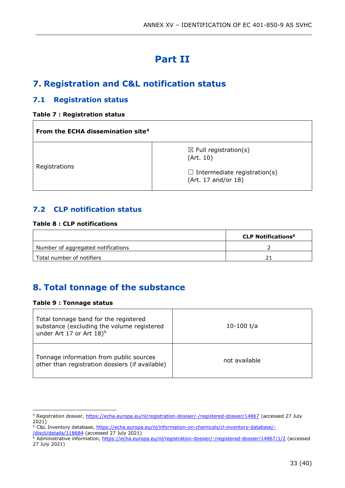# **Part II**

\_\_\_\_\_\_\_\_\_\_\_\_\_\_\_\_\_\_\_\_\_\_\_\_\_\_\_\_\_\_\_\_\_\_\_\_\_\_\_\_\_\_\_\_\_\_\_\_\_\_\_\_\_\_\_\_\_\_\_\_\_\_\_\_\_\_\_\_\_\_\_\_\_\_\_

# <span id="page-32-1"></span><span id="page-32-0"></span>**7. Registration and C&L notification status**

## <span id="page-32-2"></span>**7.1 Registration status**

### <span id="page-32-5"></span>**Table 7 : Registration status**

| From the ECHA dissemination site <sup>4</sup> |                                                            |  |  |  |
|-----------------------------------------------|------------------------------------------------------------|--|--|--|
| Registrations                                 | $\boxtimes$ Full registration(s)<br>(Art. 10)              |  |  |  |
|                                               | $\Box$ Intermediate registration(s)<br>(Art. 17 and/or 18) |  |  |  |

## <span id="page-32-3"></span>**7.2 CLP notification status**

### <span id="page-32-6"></span>**Table 8 : CLP notifications**

|                                    | <b>CLP Notifications<sup>5</sup></b> |
|------------------------------------|--------------------------------------|
| Number of aggregated notifications |                                      |
| Total number of notifiers          |                                      |

# <span id="page-32-4"></span>**8. Total tonnage of the substance**

### <span id="page-32-7"></span>**Table 9 : Tonnage status**

| Total tonnage band for the registered<br>substance (excluding the volume registered<br>under Art 17 or Art 18) <sup>6</sup> | 10-100 t/a    |
|-----------------------------------------------------------------------------------------------------------------------------|---------------|
| Tonnage information from public sources<br>other than registration dossiers (if available)                                  | not available |

<sup>4</sup> Registration dossier,<https://echa.europa.eu/nl/registration-dossier/-/registered-dossier/14867> (accessed 27 July  $2021)$ 

<sup>&</sup>lt;sup>5</sup> C&L Inventory database, [https://echa.europa.eu/nl/information-on-chemicals/cl-inventory-database/-](https://echa.europa.eu/nl/information-on-chemicals/cl-inventory-database/-/discli/details/118684) [/discli/details/118684](https://echa.europa.eu/nl/information-on-chemicals/cl-inventory-database/-/discli/details/118684) (accessed 27 July 2021)

<sup>&</sup>lt;sup>6</sup> Administrative information,<https://echa.europa.eu/nl/registration-dossier/-/registered-dossier/14867/1/2> (accessed 27 July 2021)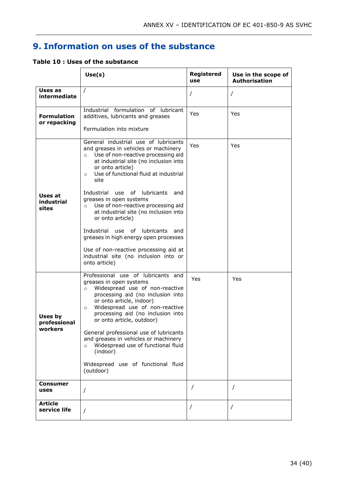# <span id="page-33-0"></span>**9. Information on uses of the substance**

\_\_\_\_\_\_\_\_\_\_\_\_\_\_\_\_\_\_\_\_\_\_\_\_\_\_\_\_\_\_\_\_\_\_\_\_\_\_\_\_\_\_\_\_\_\_\_\_\_\_\_\_\_\_\_\_\_\_\_\_\_\_\_\_\_\_\_\_\_\_\_\_\_\_\_

<span id="page-33-1"></span>

|  |  |  |  |  |  |  | Table 10 : Uses of the substance |
|--|--|--|--|--|--|--|----------------------------------|
|--|--|--|--|--|--|--|----------------------------------|

|                                    | Use(s)                                                                                                                                                                                                                                                                                                                                                                                                                                                                                                                                                                                                                                   | <b>Registered</b><br>use | Use in the scope of<br><b>Authorisation</b> |
|------------------------------------|------------------------------------------------------------------------------------------------------------------------------------------------------------------------------------------------------------------------------------------------------------------------------------------------------------------------------------------------------------------------------------------------------------------------------------------------------------------------------------------------------------------------------------------------------------------------------------------------------------------------------------------|--------------------------|---------------------------------------------|
| Uses as<br>intermediate            | $\prime$                                                                                                                                                                                                                                                                                                                                                                                                                                                                                                                                                                                                                                 |                          | $\prime$                                    |
| <b>Formulation</b><br>or repacking | Industrial formulation of lubricant<br>additives, lubricants and greases<br>Formulation into mixture                                                                                                                                                                                                                                                                                                                                                                                                                                                                                                                                     | Yes                      | Yes                                         |
| Uses at<br>industrial<br>sites     | General industrial use of lubricants<br>and greases in vehicles or machinery<br>Use of non-reactive processing aid<br>$\circ$<br>at industrial site (no inclusion into<br>or onto article)<br>Use of functional fluid at industrial<br>$\circ$<br>site<br>0f<br>lubricants<br>Industrial<br>use<br>and<br>greases in open systems<br>Use of non-reactive processing aid<br>$\circ$<br>at industrial site (no inclusion into<br>or onto article)<br>Industrial<br>use<br>of lubricants<br>and<br>greases in high energy open processes<br>Use of non-reactive processing aid at<br>industrial site (no inclusion into or<br>onto article) | Yes                      | Yes                                         |
| Uses by<br>professional<br>workers | Professional use of lubricants and<br>greases in open systems<br>Widespread use of non-reactive<br>$\circ$<br>processing aid (no inclusion into<br>or onto article, indoor)<br>Widespread use of non-reactive<br>$\circ$<br>processing aid (no inclusion into<br>or onto article, outdoor)<br>General professional use of lubricants<br>and greases in vehicles or machinery<br>Widespread use of functional fluid<br>$\circ$<br>(indoor)<br>Widespread use of functional fluid<br>(outdoor)                                                                                                                                             | Yes                      | Yes                                         |
| Consumer<br>uses                   | $\prime$                                                                                                                                                                                                                                                                                                                                                                                                                                                                                                                                                                                                                                 |                          | $\prime$                                    |
| <b>Article</b><br>service life     | $\prime$                                                                                                                                                                                                                                                                                                                                                                                                                                                                                                                                                                                                                                 |                          | $\prime$                                    |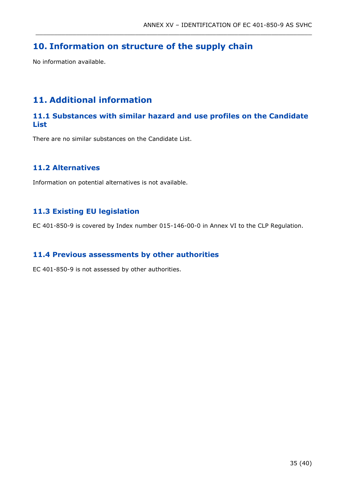## <span id="page-34-0"></span>**10. Information on structure of the supply chain**

No information available.

## <span id="page-34-1"></span>**11. Additional information**

## <span id="page-34-2"></span>**11.1 Substances with similar hazard and use profiles on the Candidate List**

\_\_\_\_\_\_\_\_\_\_\_\_\_\_\_\_\_\_\_\_\_\_\_\_\_\_\_\_\_\_\_\_\_\_\_\_\_\_\_\_\_\_\_\_\_\_\_\_\_\_\_\_\_\_\_\_\_\_\_\_\_\_\_\_\_\_\_\_\_\_\_\_\_\_\_

There are no similar substances on the Candidate List.

## <span id="page-34-3"></span>**11.2 Alternatives**

Information on potential alternatives is not available.

## <span id="page-34-4"></span>**11.3 Existing EU legislation**

EC 401-850-9 is covered by Index number 015-146-00-0 in Annex VI to the CLP Regulation.

## <span id="page-34-5"></span>**11.4 Previous assessments by other authorities**

EC 401-850-9 is not assessed by other authorities.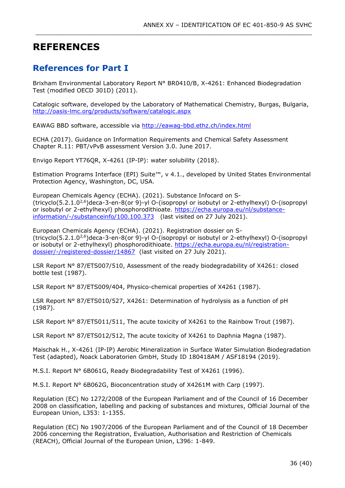# **REFERENCES**

## <span id="page-35-0"></span>**References for Part I**

Brixham Environmental Laboratory Report N° BR0410/B, X-4261: Enhanced Biodegradation Test (modified OECD 301D) (2011).

\_\_\_\_\_\_\_\_\_\_\_\_\_\_\_\_\_\_\_\_\_\_\_\_\_\_\_\_\_\_\_\_\_\_\_\_\_\_\_\_\_\_\_\_\_\_\_\_\_\_\_\_\_\_\_\_\_\_\_\_\_\_\_\_\_\_\_\_\_\_\_\_\_\_\_

Catalogic software, developed by the Laboratory of Mathematical Chemistry, Burgas, Bulgaria, <http://oasis-lmc.org/products/software/catalogic.aspx>

EAWAG BBD software, accessible via<http://eawag-bbd.ethz.ch/index.html>

ECHA (2017). Guidance on Information Requirements and Chemical Safety Assessment Chapter R.11: PBT/vPvB assessment Version 3.0. June 2017.

Envigo Report YT76QR, X-4261 (IP-IP): water solubility (2018).

Estimation Programs Interface (EPI) Suite™, v 4.1., developed by United States Environmental Protection Agency, Washington, DC, USA.

European Chemicals Agency (ECHA). (2021). Substance Infocard on S- (tricyclo(5.2.1.02,6)deca-3-en-8(or 9)-yl O-(isopropyl or isobutyl or 2-ethylhexyl) O-(isopropyl or isobutyl or 2-ethylhexyl) phosphorodithioate. [https://echa.europa.eu/nl/substance](https://echa.europa.eu/nl/substance-information/-/substanceinfo/100.100.373)[information/-/substanceinfo/100.100.373](https://echa.europa.eu/nl/substance-information/-/substanceinfo/100.100.373) (last visited on 27 July 2021).

European Chemicals Agency (ECHA). (2021). Registration dossier on S- (tricyclo(5.2.1.02,6)deca-3-en-8(or 9)-yl O-(isopropyl or isobutyl or 2-ethylhexyl) O-(isopropyl or isobutyl or 2-ethylhexyl) phosphorodithioate. [https://echa.europa.eu/nl/registration](https://echa.europa.eu/nl/registration-dossier/-/registered-dossier/14867)[dossier/-/registered-dossier/14867](https://echa.europa.eu/nl/registration-dossier/-/registered-dossier/14867) (last visited on 27 July 2021).

LSR Report N° 87/ETS007/510, Assessment of the ready biodegradability of X4261: closed bottle test (1987).

LSR Report N° 87/ETS009/404, Physico-chemical properties of X4261 (1987).

LSR Report N° 87/ETS010/527, X4261: Determination of hydrolysis as a function of pH (1987).

LSR Report N° 87/ETS011/511, The acute toxicity of X4261 to the Rainbow Trout (1987).

LSR Report N° 87/ETS012/512, The acute toxicity of X4261 to Daphnia Magna (1987).

Maischak H., X-4261 (IP-IP) Aerobic Mineralization in Surface Water Simulation Biodegradation Test (adapted), Noack Laboratorien GmbH, Study ID 180418AM / ASF18194 (2019).

M.S.I. Report N° 6B061G, Ready Biodegradability Test of X4261 (1996).

M.S.I. Report N° 6B062G, Bioconcentration study of X4261M with Carp (1997).

Regulation (EC) No 1272/2008 of the European Parliament and of the Council of 16 December 2008 on classification, labelling and packing of substances and mixtures, Official Journal of the European Union, L353: 1-1355.

Regulation (EC) No 1907/2006 of the European Parliament and of the Council of 18 December 2006 concerning the Registration, Evaluation, Authorisation and Restriction of Chemicals (REACH), Official Journal of the European Union, L396: 1-849.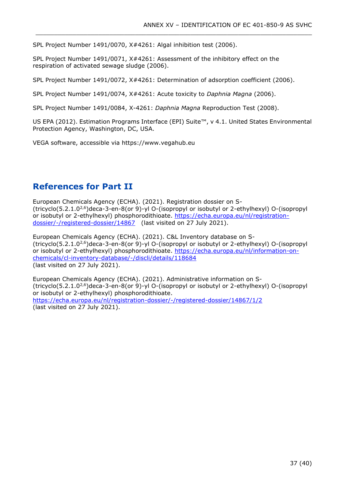SPL Project Number 1491/0070, X#4261: Algal inhibition test (2006).

SPL Project Number 1491/0071, X#4261: Assessment of the inhibitory effect on the respiration of activated sewage sludge (2006).

SPL Project Number 1491/0072, X#4261: Determination of adsorption coefficient (2006).

\_\_\_\_\_\_\_\_\_\_\_\_\_\_\_\_\_\_\_\_\_\_\_\_\_\_\_\_\_\_\_\_\_\_\_\_\_\_\_\_\_\_\_\_\_\_\_\_\_\_\_\_\_\_\_\_\_\_\_\_\_\_\_\_\_\_\_\_\_\_\_\_\_\_\_

SPL Project Number 1491/0074, X#4261: Acute toxicity to *Daphnia Magna* (2006).

SPL Project Number 1491/0084, X-4261: *Daphnia Magna* Reproduction Test (2008).

US EPA (2012). Estimation Programs Interface (EPI) Suite™, v 4.1. United States Environmental Protection Agency, Washington, DC, USA.

VEGA software, accessible via https://www.vegahub.eu

## <span id="page-36-0"></span>**References for Part II**

European Chemicals Agency (ECHA). (2021). Registration dossier on S- (tricyclo(5.2.1.02,6)deca-3-en-8(or 9)-yl O-(isopropyl or isobutyl or 2-ethylhexyl) O-(isopropyl or isobutyl or 2-ethylhexyl) phosphorodithioate. [https://echa.europa.eu/nl/registration](https://echa.europa.eu/nl/registration-dossier/-/registered-dossier/14867)[dossier/-/registered-dossier/14867](https://echa.europa.eu/nl/registration-dossier/-/registered-dossier/14867) (last visited on 27 July 2021).

European Chemicals Agency (ECHA). (2021). C&L Inventory database on S- (tricyclo(5.2.1.02,6)deca-3-en-8(or 9)-yl O-(isopropyl or isobutyl or 2-ethylhexyl) O-(isopropyl or isobutyl or 2-ethylhexyl) phosphorodithioate. [https://echa.europa.eu/nl/information-on](https://echa.europa.eu/nl/information-on-chemicals/cl-inventory-database/-/discli/details/118684)[chemicals/cl-inventory-database/-/discli/details/118684](https://echa.europa.eu/nl/information-on-chemicals/cl-inventory-database/-/discli/details/118684)  (last visited on 27 July 2021).

European Chemicals Agency (ECHA). (2021). Administrative information on S- (tricyclo(5.2.1.02,6)deca-3-en-8(or 9)-yl O-(isopropyl or isobutyl or 2-ethylhexyl) O-(isopropyl or isobutyl or 2-ethylhexyl) phosphorodithioate. <https://echa.europa.eu/nl/registration-dossier/-/registered-dossier/14867/1/2>

(last visited on 27 July 2021).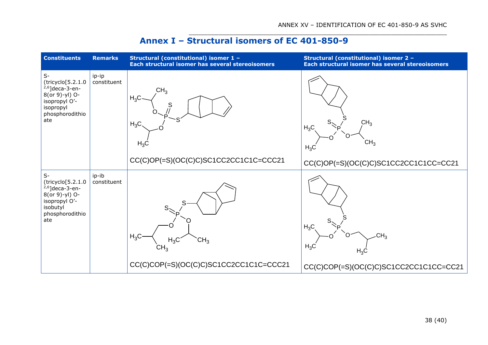$\_$  , and the set of the set of the set of the set of the set of the set of the set of the set of the set of the set of the set of the set of the set of the set of the set of the set of the set of the set of the set of th

## **Annex I – Structural isomers of EC 401-850-9**

<span id="page-37-0"></span>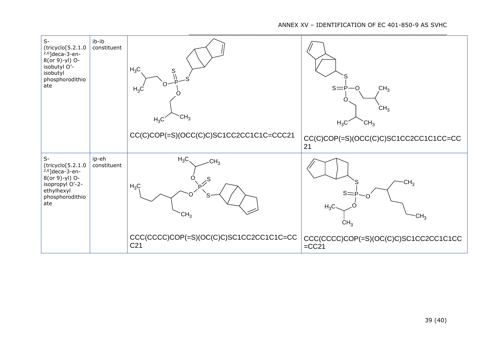### ANNEX XV – IDENTIFICATION OF EC 401-850-9 AS SVHC

| $S-$<br>(tricyclo[5.2.1.0<br>$2,6$ ]deca-3-en-<br>8(or 9)-yl) O-<br>isobutyl O'-<br>isobutyl<br>phosphorodithio<br>ate         | ib-ib<br>constituent | $H_3C$<br>S<br>$H_3C$<br>CH <sub>3</sub><br>$H_3C$<br>CC(C)COP(=S)(OCC(C)C)SC1CC2CC1C1C=CCC21                                           | CH <sub>3</sub><br>$s = \dot{P}$<br>O<br>CH <sub>3</sub><br>$H_3C$<br>CH <sub>3</sub><br>CC(C)COP(=S)(OCC(C)C)SC1CC2CC1C1CC=CC<br>21 |
|--------------------------------------------------------------------------------------------------------------------------------|----------------------|-----------------------------------------------------------------------------------------------------------------------------------------|--------------------------------------------------------------------------------------------------------------------------------------|
| $S-$<br>(tricyclo[5.2.1.0<br>$^{2,6}$ ]deca-3-en-<br>8(or 9)-yl) O-<br>isopropyl O'-2-<br>ethylhexyl<br>phosphorodithio<br>ate | ip-eh<br>constituent | $H_3C$<br>CH <sub>3</sub><br>$\mathcal{L}^S$<br>$H_3C$<br>CH <sub>3</sub><br>CCC(CCCC)COP(=S)(OC(C)C)SC1CC2CC1C1C=CC<br>C <sub>21</sub> | CH <sub>3</sub><br>$s=$<br>$H_3C$<br>CH <sub>3</sub><br>CH <sub>3</sub><br>CCC(CCCC)COP(=S)(OC(C)C)SC1CC2CC1C1CC<br>$=CC21$          |